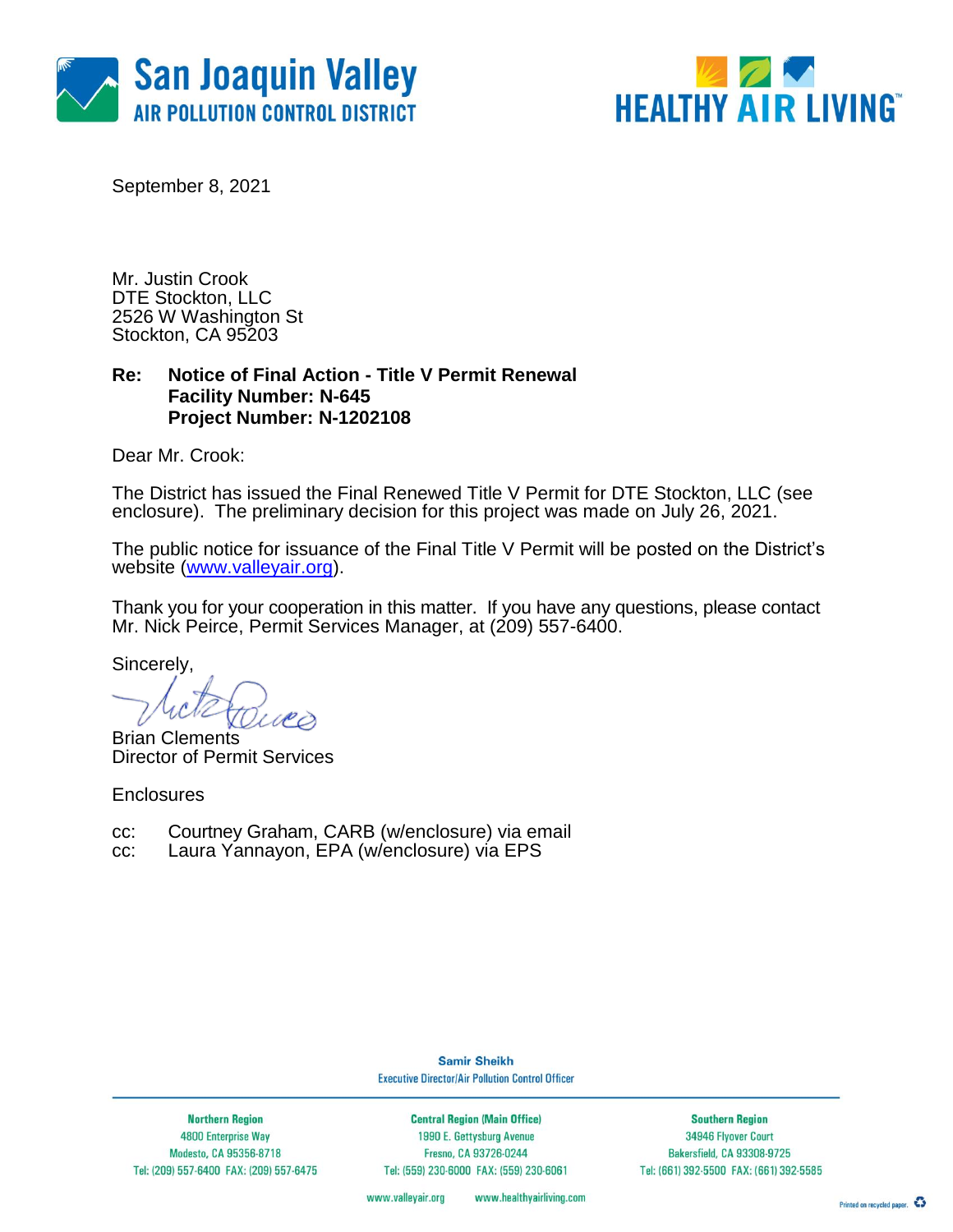



September 8, 2021

Mr. Justin Crook DTE Stockton, LLC 2526 W Washington St Stockton, CA 95203

### **Re: Notice of Final Action - Title V Permit Renewal Facility Number: N-645 Project Number: N-1202108**

Dear Mr. Crook:

The District has issued the Final Renewed Title V Permit for DTE Stockton, LLC (see enclosure). The preliminary decision for this project was made on July 26, 2021.

The public notice for issuance of the Final Title V Permit will be posted on the District's website [\(www.valleyair.org\)](http://www.valleyair.org/).

Thank you for your cooperation in this matter. If you have any questions, please contact Mr. Nick Peirce, Permit Services Manager, at (209) 557-6400.

Sincerely,

Brian Clements Director of Permit Services

**Enclosures** 

cc: Courtney Graham, CARB (w/enclosure) via email

cc: Laura Yannayon, EPA (w/enclosure) via EPS

**Samir Sheikh Executive Director/Air Pollution Control Officer** 

**Northern Region** 4800 Enterprise Way Modesto, CA 95356-8718 Tel: (209) 557-6400 FAX: (209) 557-6475

**Central Region (Main Office)** 1990 E. Gettysburg Avenue Fresno, CA 93726-0244 Tel: (559) 230-6000 FAX: (559) 230-6061

**Southern Region** 34946 Flyover Court Bakersfield, CA 93308-9725 Tel: (661) 392-5500 FAX: (661) 392-5585

www.valleyair.org www.healthyairliving.com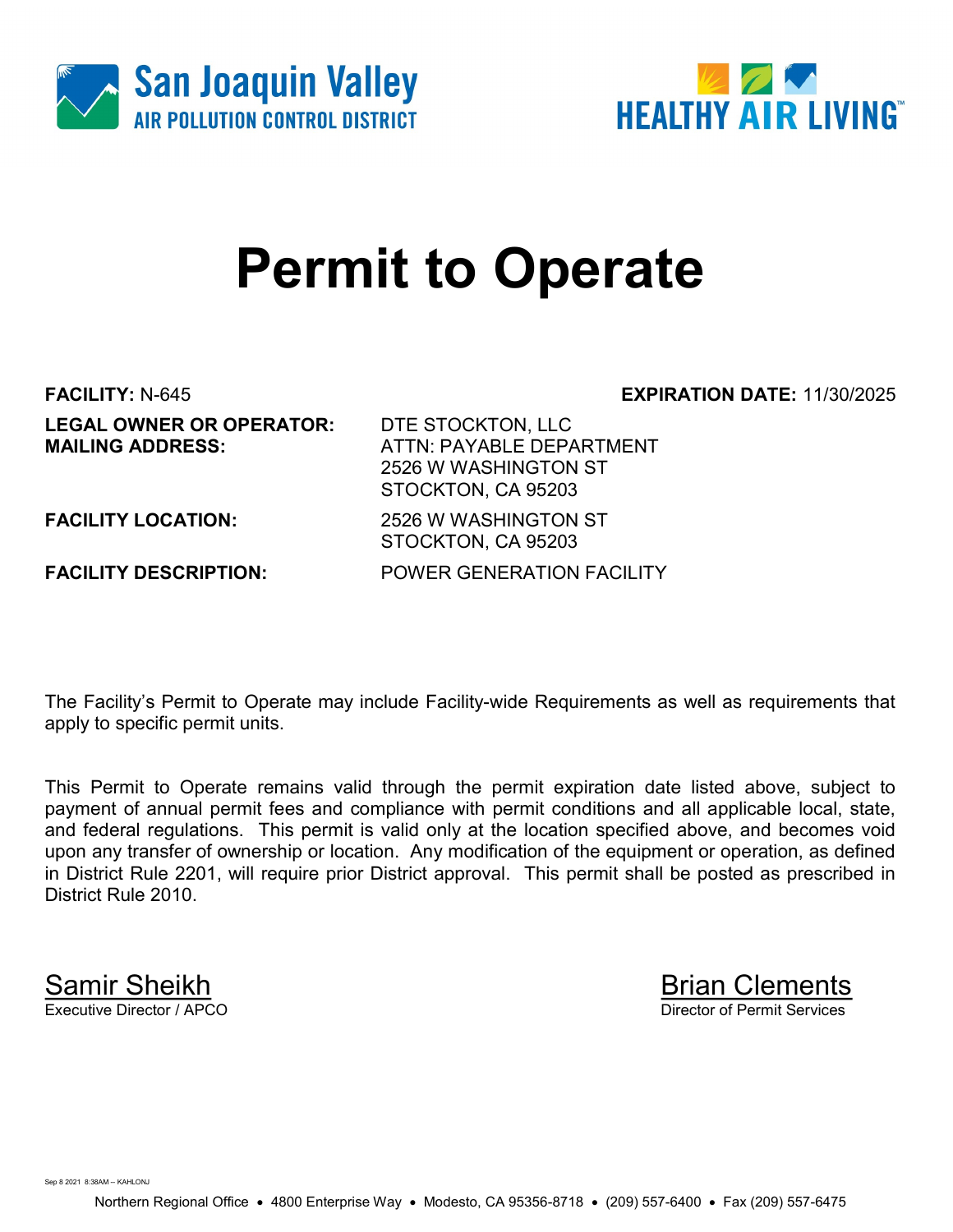



# Permit to Operate

FACILITY: N-645 EXPIRATION DATE: 11/30/2025 **LEGAL OWNER OR OPERATOR: DTE STOCKTON, LLC<br>MAILING ADDRESS: ATTN: PAYABLE DEP/** 

ATTN: PAYABLE DEPARTMENT 2526 W WASHINGTON ST STOCKTON, CA 95203

FACILITY LOCATION: 2526 W WASHINGTON ST

FACILITY DESCRIPTION: POWER GENERATION FACILITY

STOCKTON, CA 95203

The Facility's Permit to Operate may include Facility-wide Requirements as well as requirements that apply to specific permit units.

This Permit to Operate remains valid through the permit expiration date listed above, subject to payment of annual permit fees and compliance with permit conditions and all applicable local, state, and federal regulations. This permit is valid only at the location specified above, and becomes void upon any transfer of ownership or location. Any modification of the equipment or operation, as defined in District Rule 2201, will require prior District approval. This permit shall be posted as prescribed in District Rule 2010.

Samir Sheikh Brian Clements<br>Executive Director / APCO Director of Permit Services

Sep 8 2021 8:38AM -- KAHLON L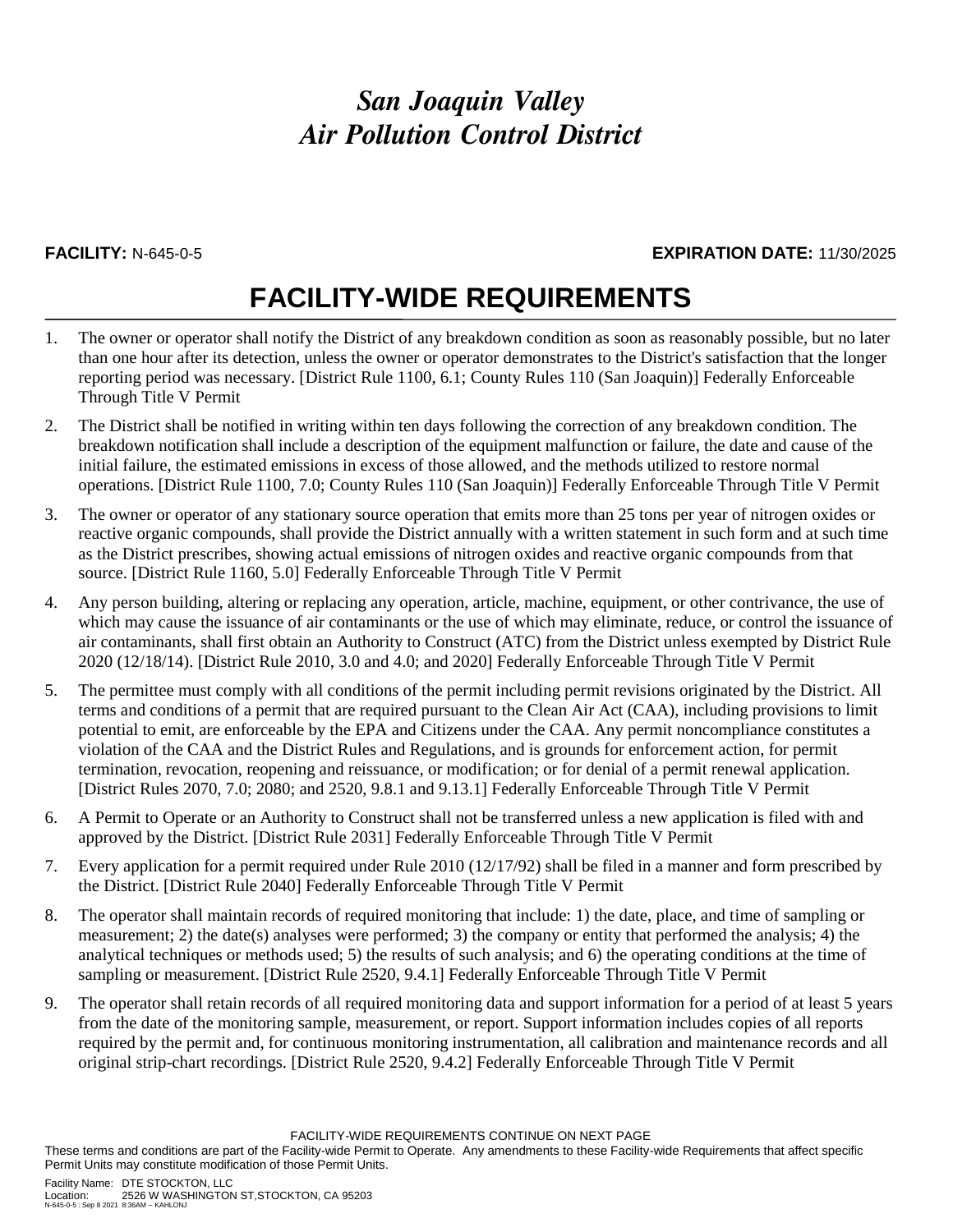### **FACILITY:** N-645-0-5 **EXPIRATION DATE:** 11/30/2025

## **FACILITY-WIDE REQUIREMENTS**

- 1. The owner or operator shall notify the District of any breakdown condition as soon as reasonably possible, but no later than one hour after its detection, unless the owner or operator demonstrates to the District's satisfaction that the longer reporting period was necessary. [District Rule 1100, 6.1; County Rules 110 (San Joaquin)] Federally Enforceable Through Title V Permit
- 2. The District shall be notified in writing within ten days following the correction of any breakdown condition. The breakdown notification shall include a description of the equipment malfunction or failure, the date and cause of the initial failure, the estimated emissions in excess of those allowed, and the methods utilized to restore normal operations. [District Rule 1100, 7.0; County Rules 110 (San Joaquin)] Federally Enforceable Through Title V Permit
- 3. The owner or operator of any stationary source operation that emits more than 25 tons per year of nitrogen oxides or reactive organic compounds, shall provide the District annually with a written statement in such form and at such time as the District prescribes, showing actual emissions of nitrogen oxides and reactive organic compounds from that source. [District Rule 1160, 5.0] Federally Enforceable Through Title V Permit
- 4. Any person building, altering or replacing any operation, article, machine, equipment, or other contrivance, the use of which may cause the issuance of air contaminants or the use of which may eliminate, reduce, or control the issuance of air contaminants, shall first obtain an Authority to Construct (ATC) from the District unless exempted by District Rule 2020 (12/18/14). [District Rule 2010, 3.0 and 4.0; and 2020] Federally Enforceable Through Title V Permit
- 5. The permittee must comply with all conditions of the permit including permit revisions originated by the District. All terms and conditions of a permit that are required pursuant to the Clean Air Act (CAA), including provisions to limit potential to emit, are enforceable by the EPA and Citizens under the CAA. Any permit noncompliance constitutes a violation of the CAA and the District Rules and Regulations, and is grounds for enforcement action, for permit termination, revocation, reopening and reissuance, or modification; or for denial of a permit renewal application. [District Rules 2070, 7.0; 2080; and 2520, 9.8.1 and 9.13.1] Federally Enforceable Through Title V Permit
- 6. A Permit to Operate or an Authority to Construct shall not be transferred unless a new application is filed with and approved by the District. [District Rule 2031] Federally Enforceable Through Title V Permit
- 7. Every application for a permit required under Rule 2010 (12/17/92) shall be filed in a manner and form prescribed by the District. [District Rule 2040] Federally Enforceable Through Title V Permit
- 8. The operator shall maintain records of required monitoring that include: 1) the date, place, and time of sampling or measurement; 2) the date(s) analyses were performed; 3) the company or entity that performed the analysis; 4) the analytical techniques or methods used; 5) the results of such analysis; and 6) the operating conditions at the time of sampling or measurement. [District Rule 2520, 9.4.1] Federally Enforceable Through Title V Permit
- 9. The operator shall retain records of all required monitoring data and support information for a period of at least 5 years from the date of the monitoring sample, measurement, or report. Support information includes copies of all reports required by the permit and, for continuous monitoring instrumentation, all calibration and maintenance records and all original strip-chart recordings. [District Rule 2520, 9.4.2] Federally Enforceable Through Title V Permit

FACILITY-WIDE REQUIREMENTS CONTINUE ON NEXT PAGE

These terms and conditions are part of the Facility-wide Permit to Operate. Any amendments to these Facility-wide Requirements that affect specific Permit Units may constitute modification of those Permit Units.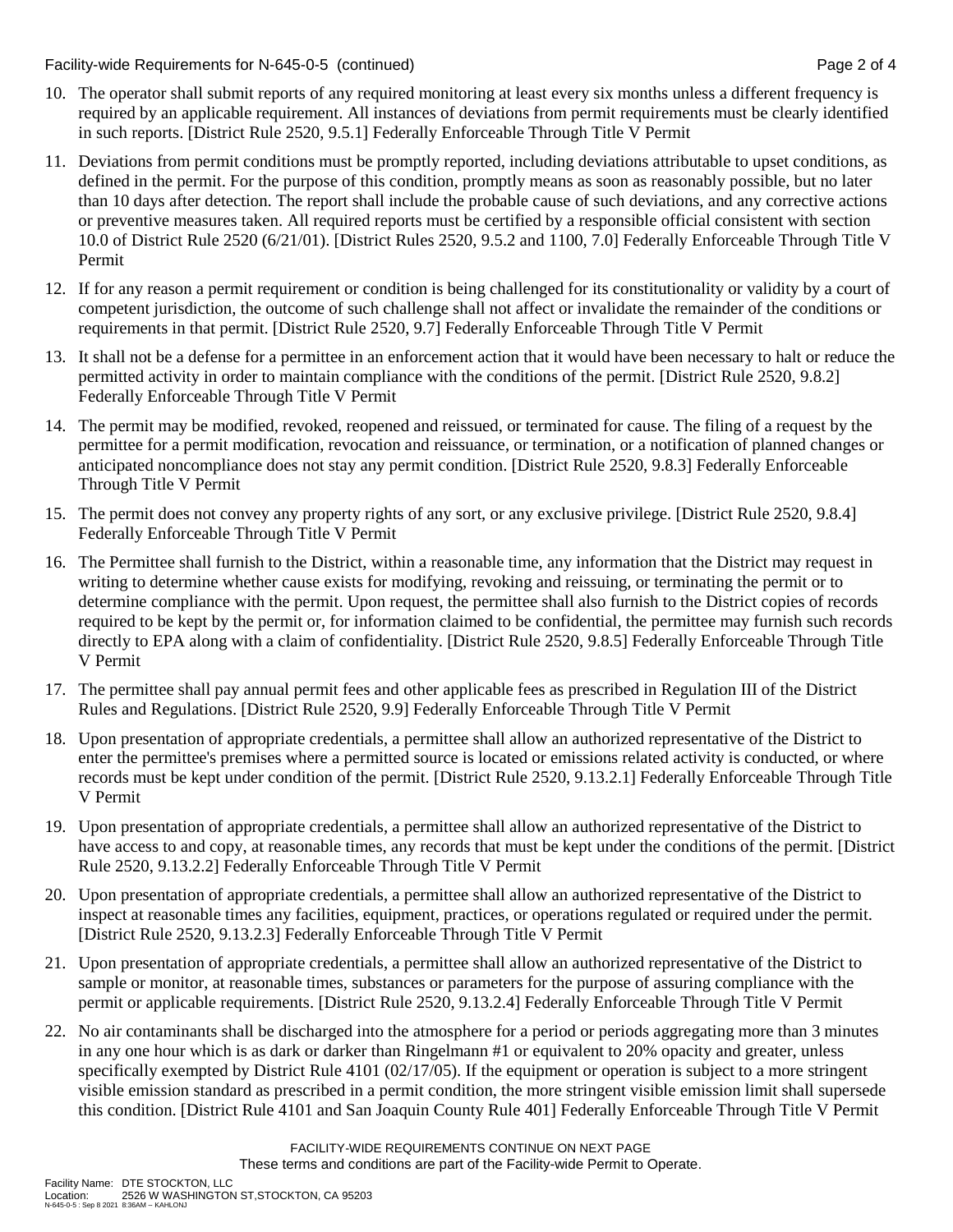Facility-wide Requirements for N-645-0-5 (continued) Page 2 of 4

- 10. The operator shall submit reports of any required monitoring at least every six months unless a different frequency is required by an applicable requirement. All instances of deviations from permit requirements must be clearly identified in such reports. [District Rule 2520, 9.5.1] Federally Enforceable Through Title V Permit
- 11. Deviations from permit conditions must be promptly reported, including deviations attributable to upset conditions, as defined in the permit. For the purpose of this condition, promptly means as soon as reasonably possible, but no later than 10 days after detection. The report shall include the probable cause of such deviations, and any corrective actions or preventive measures taken. All required reports must be certified by a responsible official consistent with section 10.0 of District Rule 2520 (6/21/01). [District Rules 2520, 9.5.2 and 1100, 7.0] Federally Enforceable Through Title V Permit
- 12. If for any reason a permit requirement or condition is being challenged for its constitutionality or validity by a court of competent jurisdiction, the outcome of such challenge shall not affect or invalidate the remainder of the conditions or requirements in that permit. [District Rule 2520, 9.7] Federally Enforceable Through Title V Permit
- 13. It shall not be a defense for a permittee in an enforcement action that it would have been necessary to halt or reduce the permitted activity in order to maintain compliance with the conditions of the permit. [District Rule 2520, 9.8.2] Federally Enforceable Through Title V Permit
- 14. The permit may be modified, revoked, reopened and reissued, or terminated for cause. The filing of a request by the permittee for a permit modification, revocation and reissuance, or termination, or a notification of planned changes or anticipated noncompliance does not stay any permit condition. [District Rule 2520, 9.8.3] Federally Enforceable Through Title V Permit
- 15. The permit does not convey any property rights of any sort, or any exclusive privilege. [District Rule 2520, 9.8.4] Federally Enforceable Through Title V Permit
- 16. The Permittee shall furnish to the District, within a reasonable time, any information that the District may request in writing to determine whether cause exists for modifying, revoking and reissuing, or terminating the permit or to determine compliance with the permit. Upon request, the permittee shall also furnish to the District copies of records required to be kept by the permit or, for information claimed to be confidential, the permittee may furnish such records directly to EPA along with a claim of confidentiality. [District Rule 2520, 9.8.5] Federally Enforceable Through Title V Permit
- 17. The permittee shall pay annual permit fees and other applicable fees as prescribed in Regulation III of the District Rules and Regulations. [District Rule 2520, 9.9] Federally Enforceable Through Title V Permit
- 18. Upon presentation of appropriate credentials, a permittee shall allow an authorized representative of the District to enter the permittee's premises where a permitted source is located or emissions related activity is conducted, or where records must be kept under condition of the permit. [District Rule 2520, 9.13.2.1] Federally Enforceable Through Title V Permit
- 19. Upon presentation of appropriate credentials, a permittee shall allow an authorized representative of the District to have access to and copy, at reasonable times, any records that must be kept under the conditions of the permit. [District Rule 2520, 9.13.2.2] Federally Enforceable Through Title V Permit
- 20. Upon presentation of appropriate credentials, a permittee shall allow an authorized representative of the District to inspect at reasonable times any facilities, equipment, practices, or operations regulated or required under the permit. [District Rule 2520, 9.13.2.3] Federally Enforceable Through Title V Permit
- 21. Upon presentation of appropriate credentials, a permittee shall allow an authorized representative of the District to sample or monitor, at reasonable times, substances or parameters for the purpose of assuring compliance with the permit or applicable requirements. [District Rule 2520, 9.13.2.4] Federally Enforceable Through Title V Permit
- 22. No air contaminants shall be discharged into the atmosphere for a period or periods aggregating more than 3 minutes in any one hour which is as dark or darker than Ringelmann #1 or equivalent to 20% opacity and greater, unless specifically exempted by District Rule 4101 (02/17/05). If the equipment or operation is subject to a more stringent visible emission standard as prescribed in a permit condition, the more stringent visible emission limit shall supersede this condition. [District Rule 4101 and San Joaquin County Rule 401] Federally Enforceable Through Title V Permit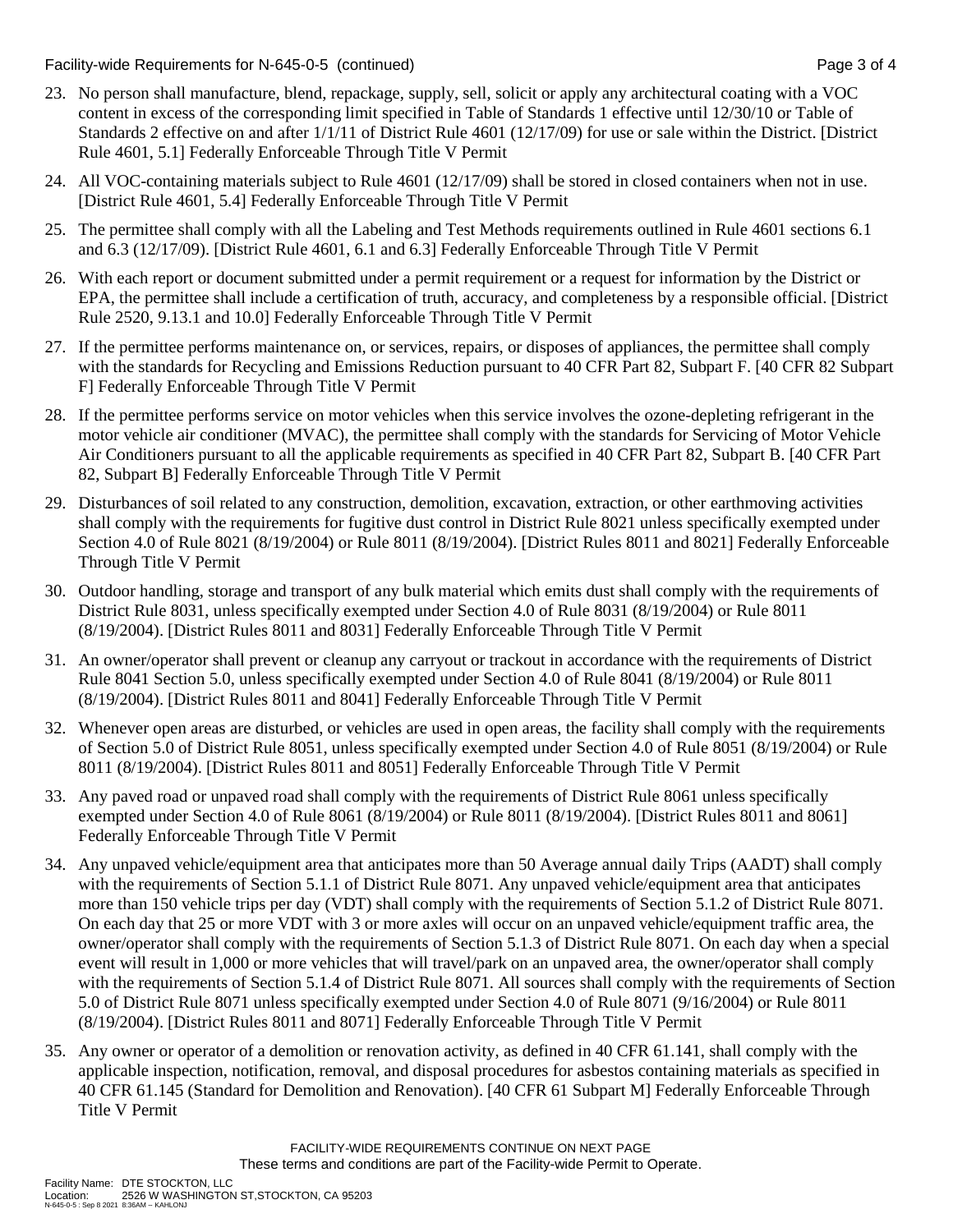Facility-wide Requirements for N-645-0-5 (continued) Page 3 of 4

- 23. No person shall manufacture, blend, repackage, supply, sell, solicit or apply any architectural coating with a VOC content in excess of the corresponding limit specified in Table of Standards 1 effective until 12/30/10 or Table of Standards 2 effective on and after 1/1/11 of District Rule 4601 (12/17/09) for use or sale within the District. [District Rule 4601, 5.1] Federally Enforceable Through Title V Permit
- 24. All VOC-containing materials subject to Rule 4601 (12/17/09) shall be stored in closed containers when not in use. [District Rule 4601, 5.4] Federally Enforceable Through Title V Permit
- 25. The permittee shall comply with all the Labeling and Test Methods requirements outlined in Rule 4601 sections 6.1 and 6.3 (12/17/09). [District Rule 4601, 6.1 and 6.3] Federally Enforceable Through Title V Permit
- 26. With each report or document submitted under a permit requirement or a request for information by the District or EPA, the permittee shall include a certification of truth, accuracy, and completeness by a responsible official. [District Rule 2520, 9.13.1 and 10.0] Federally Enforceable Through Title V Permit
- 27. If the permittee performs maintenance on, or services, repairs, or disposes of appliances, the permittee shall comply with the standards for Recycling and Emissions Reduction pursuant to 40 CFR Part 82, Subpart F. [40 CFR 82 Subpart F] Federally Enforceable Through Title V Permit
- 28. If the permittee performs service on motor vehicles when this service involves the ozone-depleting refrigerant in the motor vehicle air conditioner (MVAC), the permittee shall comply with the standards for Servicing of Motor Vehicle Air Conditioners pursuant to all the applicable requirements as specified in 40 CFR Part 82, Subpart B. [40 CFR Part 82, Subpart B] Federally Enforceable Through Title V Permit
- 29. Disturbances of soil related to any construction, demolition, excavation, extraction, or other earthmoving activities shall comply with the requirements for fugitive dust control in District Rule 8021 unless specifically exempted under Section 4.0 of Rule 8021 (8/19/2004) or Rule 8011 (8/19/2004). [District Rules 8011 and 8021] Federally Enforceable Through Title V Permit
- 30. Outdoor handling, storage and transport of any bulk material which emits dust shall comply with the requirements of District Rule 8031, unless specifically exempted under Section 4.0 of Rule 8031 (8/19/2004) or Rule 8011 (8/19/2004). [District Rules 8011 and 8031] Federally Enforceable Through Title V Permit
- 31. An owner/operator shall prevent or cleanup any carryout or trackout in accordance with the requirements of District Rule 8041 Section 5.0, unless specifically exempted under Section 4.0 of Rule 8041 (8/19/2004) or Rule 8011 (8/19/2004). [District Rules 8011 and 8041] Federally Enforceable Through Title V Permit
- 32. Whenever open areas are disturbed, or vehicles are used in open areas, the facility shall comply with the requirements of Section 5.0 of District Rule 8051, unless specifically exempted under Section 4.0 of Rule 8051 (8/19/2004) or Rule 8011 (8/19/2004). [District Rules 8011 and 8051] Federally Enforceable Through Title V Permit
- 33. Any paved road or unpaved road shall comply with the requirements of District Rule 8061 unless specifically exempted under Section 4.0 of Rule 8061 (8/19/2004) or Rule 8011 (8/19/2004). [District Rules 8011 and 8061] Federally Enforceable Through Title V Permit
- 34. Any unpaved vehicle/equipment area that anticipates more than 50 Average annual daily Trips (AADT) shall comply with the requirements of Section 5.1.1 of District Rule 8071. Any unpaved vehicle/equipment area that anticipates more than 150 vehicle trips per day (VDT) shall comply with the requirements of Section 5.1.2 of District Rule 8071. On each day that 25 or more VDT with 3 or more axles will occur on an unpaved vehicle/equipment traffic area, the owner/operator shall comply with the requirements of Section 5.1.3 of District Rule 8071. On each day when a special event will result in 1,000 or more vehicles that will travel/park on an unpaved area, the owner/operator shall comply with the requirements of Section 5.1.4 of District Rule 8071. All sources shall comply with the requirements of Section 5.0 of District Rule 8071 unless specifically exempted under Section 4.0 of Rule 8071 (9/16/2004) or Rule 8011 (8/19/2004). [District Rules 8011 and 8071] Federally Enforceable Through Title V Permit
- 35. Any owner or operator of a demolition or renovation activity, as defined in 40 CFR 61.141, shall comply with the applicable inspection, notification, removal, and disposal procedures for asbestos containing materials as specified in 40 CFR 61.145 (Standard for Demolition and Renovation). [40 CFR 61 Subpart M] Federally Enforceable Through Title V Permit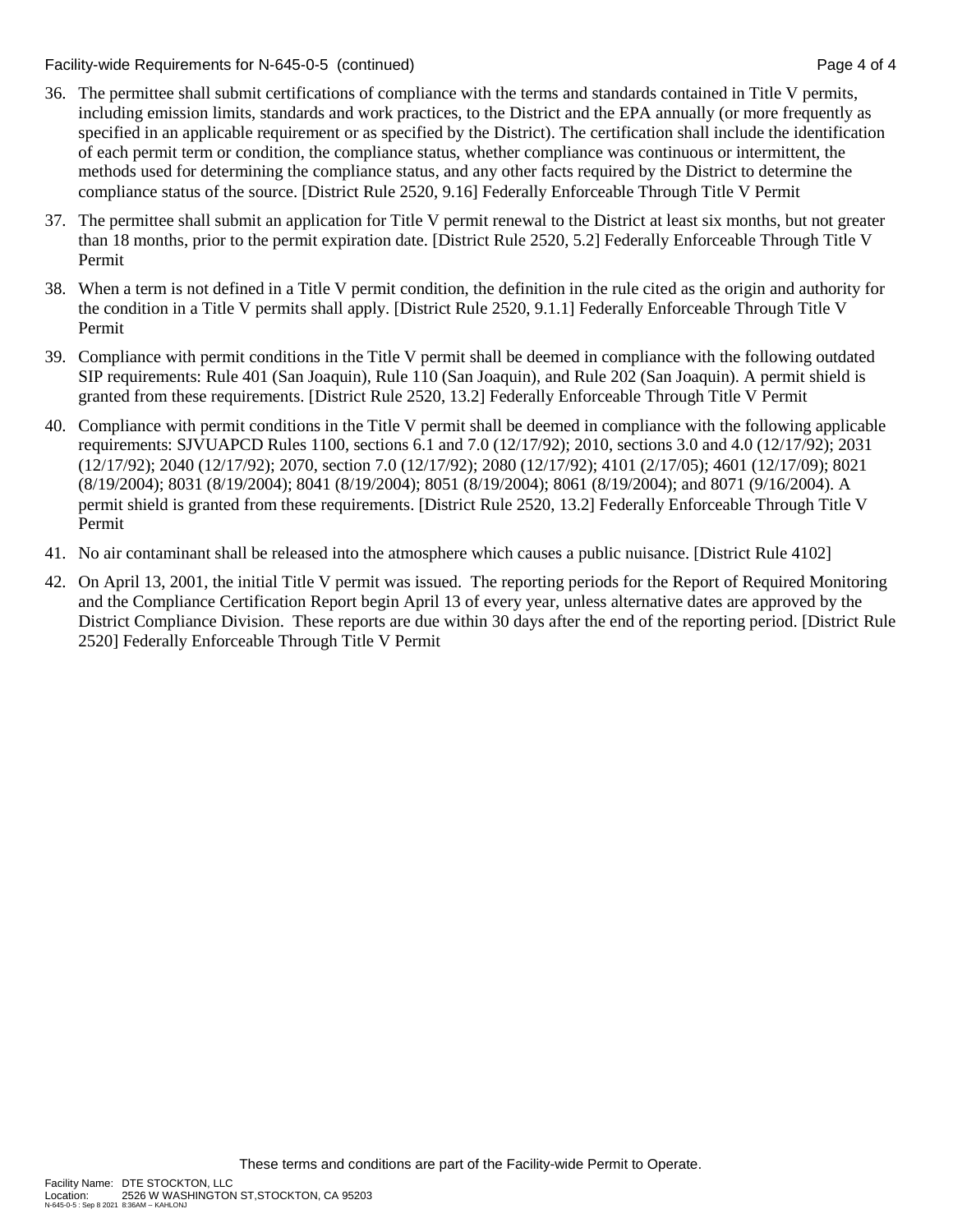Facility-wide Requirements for N-645-0-5 (continued) Page 4 of 4

- 36. The permittee shall submit certifications of compliance with the terms and standards contained in Title V permits, including emission limits, standards and work practices, to the District and the EPA annually (or more frequently as specified in an applicable requirement or as specified by the District). The certification shall include the identification of each permit term or condition, the compliance status, whether compliance was continuous or intermittent, the methods used for determining the compliance status, and any other facts required by the District to determine the compliance status of the source. [District Rule 2520, 9.16] Federally Enforceable Through Title V Permit
- 37. The permittee shall submit an application for Title V permit renewal to the District at least six months, but not greater than 18 months, prior to the permit expiration date. [District Rule 2520, 5.2] Federally Enforceable Through Title V Permit
- 38. When a term is not defined in a Title V permit condition, the definition in the rule cited as the origin and authority for the condition in a Title V permits shall apply. [District Rule 2520, 9.1.1] Federally Enforceable Through Title V Permit
- 39. Compliance with permit conditions in the Title V permit shall be deemed in compliance with the following outdated SIP requirements: Rule 401 (San Joaquin), Rule 110 (San Joaquin), and Rule 202 (San Joaquin). A permit shield is granted from these requirements. [District Rule 2520, 13.2] Federally Enforceable Through Title V Permit
- 40. Compliance with permit conditions in the Title V permit shall be deemed in compliance with the following applicable requirements: SJVUAPCD Rules 1100, sections 6.1 and 7.0 (12/17/92); 2010, sections 3.0 and 4.0 (12/17/92); 2031 (12/17/92); 2040 (12/17/92); 2070, section 7.0 (12/17/92); 2080 (12/17/92); 4101 (2/17/05); 4601 (12/17/09); 8021 (8/19/2004); 8031 (8/19/2004); 8041 (8/19/2004); 8051 (8/19/2004); 8061 (8/19/2004); and 8071 (9/16/2004). A permit shield is granted from these requirements. [District Rule 2520, 13.2] Federally Enforceable Through Title V Permit
- 41. No air contaminant shall be released into the atmosphere which causes a public nuisance. [District Rule 4102]
- 42. On April 13, 2001, the initial Title V permit was issued. The reporting periods for the Report of Required Monitoring and the Compliance Certification Report begin April 13 of every year, unless alternative dates are approved by the District Compliance Division. These reports are due within 30 days after the end of the reporting period. [District Rule 2520] Federally Enforceable Through Title V Permit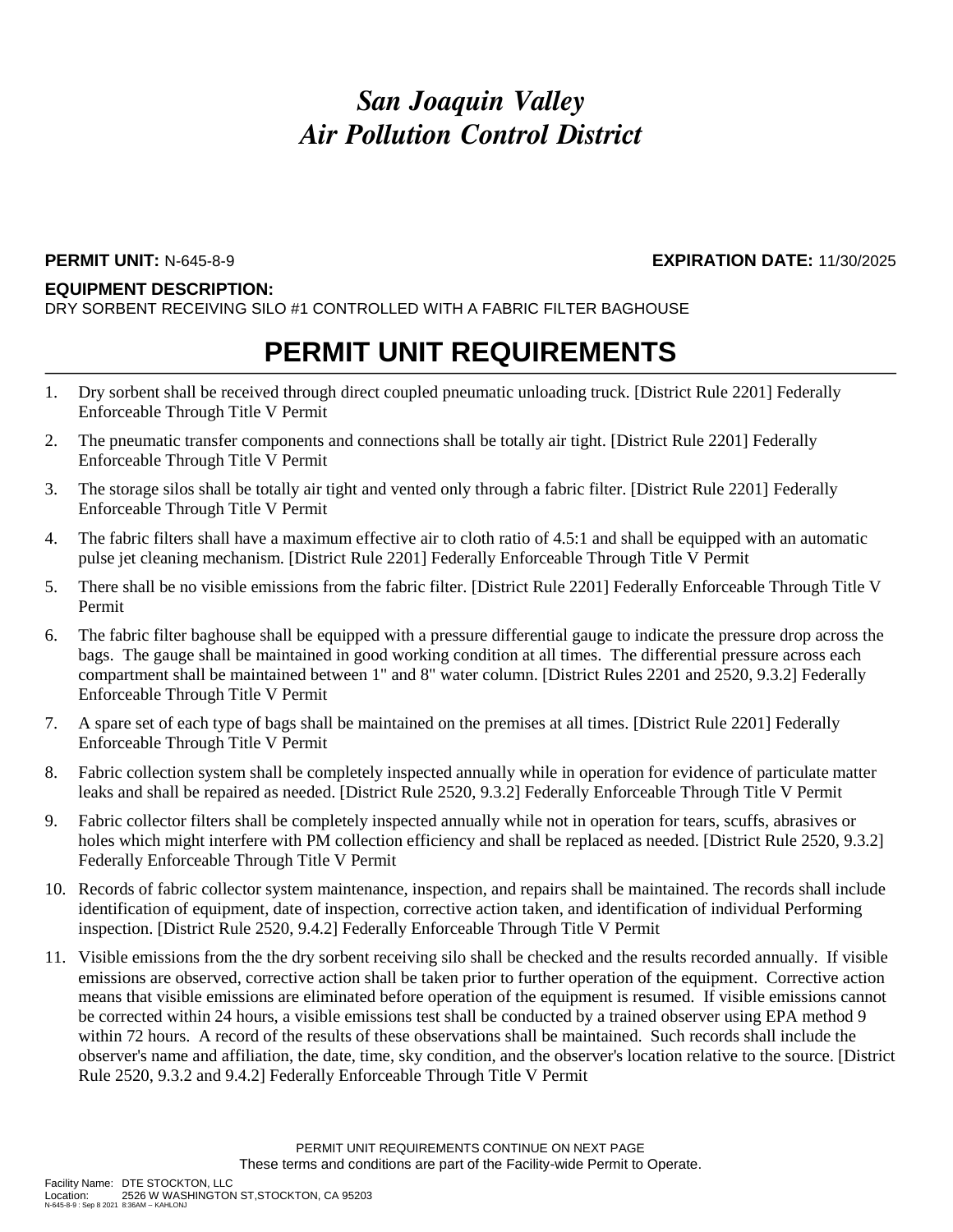#### **EQUIPMENT DESCRIPTION:**

DRY SORBENT RECEIVING SILO #1 CONTROLLED WITH A FABRIC FILTER BAGHOUSE

## **PERMIT UNIT REQUIREMENTS**

- 1. Dry sorbent shall be received through direct coupled pneumatic unloading truck. [District Rule 2201] Federally Enforceable Through Title V Permit
- 2. The pneumatic transfer components and connections shall be totally air tight. [District Rule 2201] Federally Enforceable Through Title V Permit
- 3. The storage silos shall be totally air tight and vented only through a fabric filter. [District Rule 2201] Federally Enforceable Through Title V Permit
- 4. The fabric filters shall have a maximum effective air to cloth ratio of 4.5:1 and shall be equipped with an automatic pulse jet cleaning mechanism. [District Rule 2201] Federally Enforceable Through Title V Permit
- 5. There shall be no visible emissions from the fabric filter. [District Rule 2201] Federally Enforceable Through Title V Permit
- 6. The fabric filter baghouse shall be equipped with a pressure differential gauge to indicate the pressure drop across the bags. The gauge shall be maintained in good working condition at all times. The differential pressure across each compartment shall be maintained between 1" and 8" water column. [District Rules 2201 and 2520, 9.3.2] Federally Enforceable Through Title V Permit
- 7. A spare set of each type of bags shall be maintained on the premises at all times. [District Rule 2201] Federally Enforceable Through Title V Permit
- 8. Fabric collection system shall be completely inspected annually while in operation for evidence of particulate matter leaks and shall be repaired as needed. [District Rule 2520, 9.3.2] Federally Enforceable Through Title V Permit
- 9. Fabric collector filters shall be completely inspected annually while not in operation for tears, scuffs, abrasives or holes which might interfere with PM collection efficiency and shall be replaced as needed. [District Rule 2520, 9.3.2] Federally Enforceable Through Title V Permit
- 10. Records of fabric collector system maintenance, inspection, and repairs shall be maintained. The records shall include identification of equipment, date of inspection, corrective action taken, and identification of individual Performing inspection. [District Rule 2520, 9.4.2] Federally Enforceable Through Title V Permit
- 11. Visible emissions from the the dry sorbent receiving silo shall be checked and the results recorded annually. If visible emissions are observed, corrective action shall be taken prior to further operation of the equipment. Corrective action means that visible emissions are eliminated before operation of the equipment is resumed. If visible emissions cannot be corrected within 24 hours, a visible emissions test shall be conducted by a trained observer using EPA method 9 within 72 hours. A record of the results of these observations shall be maintained. Such records shall include the observer's name and affiliation, the date, time, sky condition, and the observer's location relative to the source. [District Rule 2520, 9.3.2 and 9.4.2] Federally Enforceable Through Title V Permit

**PERMIT UNIT:** N-645-8-9 **EXPIRATION DATE:** 11/30/2025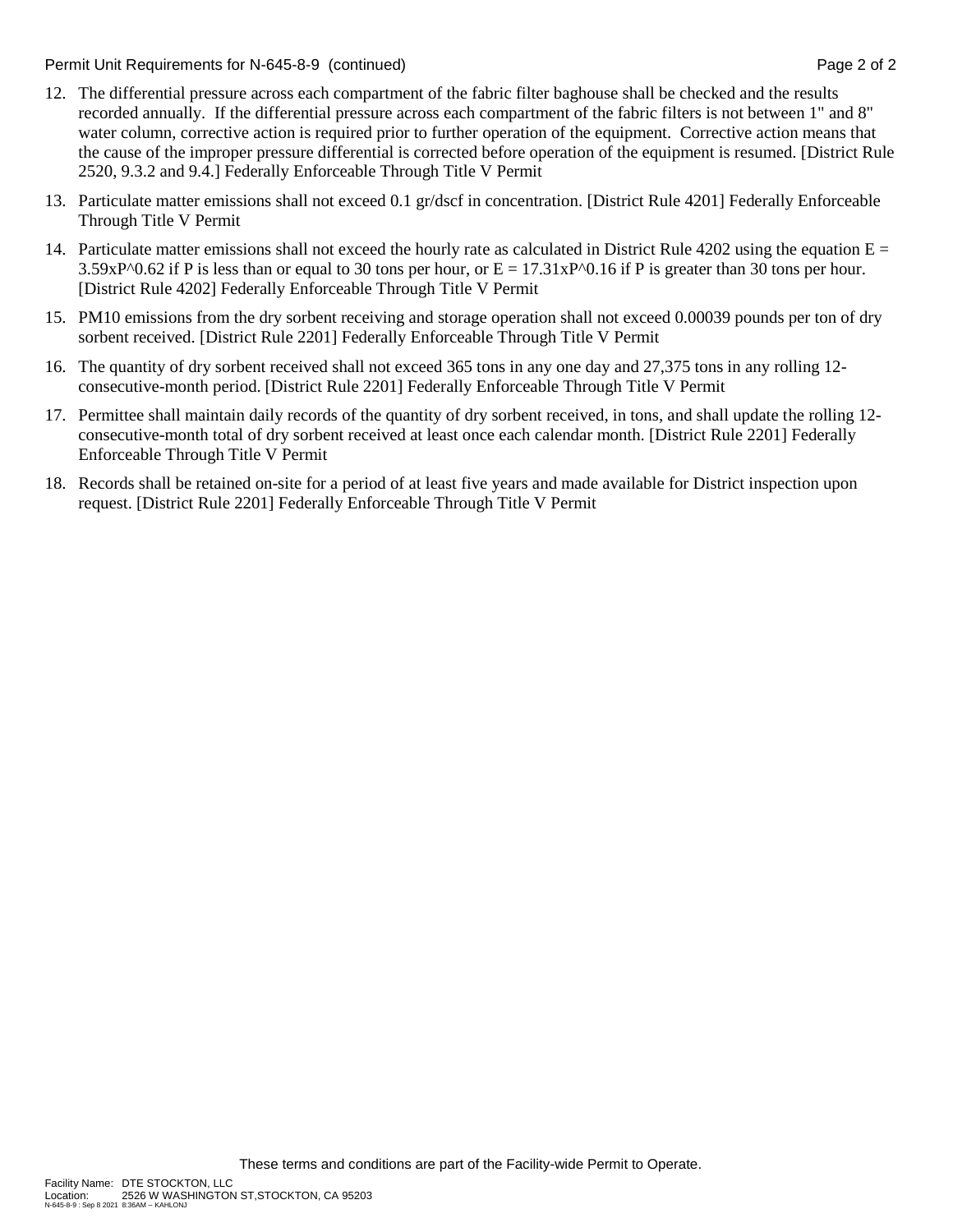Permit Unit Requirements for N-645-8-9 (continued) **Page 2** of 2

- 12. The differential pressure across each compartment of the fabric filter baghouse shall be checked and the results recorded annually. If the differential pressure across each compartment of the fabric filters is not between 1" and 8" water column, corrective action is required prior to further operation of the equipment. Corrective action means that the cause of the improper pressure differential is corrected before operation of the equipment is resumed. [District Rule 2520, 9.3.2 and 9.4.] Federally Enforceable Through Title V Permit
- 13. Particulate matter emissions shall not exceed 0.1 gr/dscf in concentration. [District Rule 4201] Federally Enforceable Through Title V Permit
- 14. Particulate matter emissions shall not exceed the hourly rate as calculated in District Rule 4202 using the equation  $E =$  $3.59xP^00.62$  if P is less than or equal to 30 tons per hour, or  $E = 17.31xP^00.16$  if P is greater than 30 tons per hour. [District Rule 4202] Federally Enforceable Through Title V Permit
- 15. PM10 emissions from the dry sorbent receiving and storage operation shall not exceed 0.00039 pounds per ton of dry sorbent received. [District Rule 2201] Federally Enforceable Through Title V Permit
- 16. The quantity of dry sorbent received shall not exceed 365 tons in any one day and 27,375 tons in any rolling 12 consecutive-month period. [District Rule 2201] Federally Enforceable Through Title V Permit
- 17. Permittee shall maintain daily records of the quantity of dry sorbent received, in tons, and shall update the rolling 12 consecutive-month total of dry sorbent received at least once each calendar month. [District Rule 2201] Federally Enforceable Through Title V Permit
- 18. Records shall be retained on-site for a period of at least five years and made available for District inspection upon request. [District Rule 2201] Federally Enforceable Through Title V Permit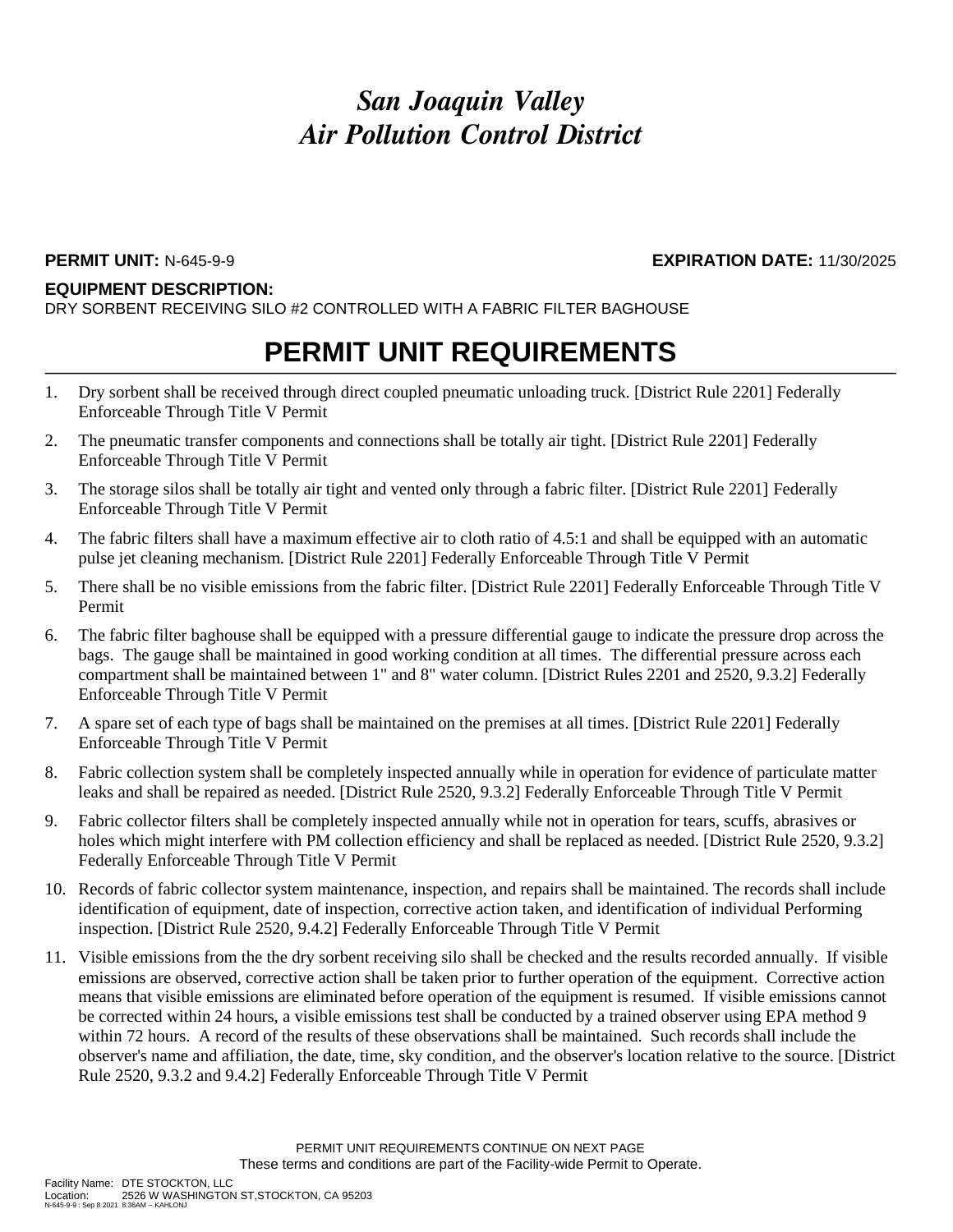#### **EQUIPMENT DESCRIPTION:**

DRY SORBENT RECEIVING SILO #2 CONTROLLED WITH A FABRIC FILTER BAGHOUSE

## **PERMIT UNIT REQUIREMENTS**

- 1. Dry sorbent shall be received through direct coupled pneumatic unloading truck. [District Rule 2201] Federally Enforceable Through Title V Permit
- 2. The pneumatic transfer components and connections shall be totally air tight. [District Rule 2201] Federally Enforceable Through Title V Permit
- 3. The storage silos shall be totally air tight and vented only through a fabric filter. [District Rule 2201] Federally Enforceable Through Title V Permit
- 4. The fabric filters shall have a maximum effective air to cloth ratio of 4.5:1 and shall be equipped with an automatic pulse jet cleaning mechanism. [District Rule 2201] Federally Enforceable Through Title V Permit
- 5. There shall be no visible emissions from the fabric filter. [District Rule 2201] Federally Enforceable Through Title V Permit
- 6. The fabric filter baghouse shall be equipped with a pressure differential gauge to indicate the pressure drop across the bags. The gauge shall be maintained in good working condition at all times. The differential pressure across each compartment shall be maintained between 1" and 8" water column. [District Rules 2201 and 2520, 9.3.2] Federally Enforceable Through Title V Permit
- 7. A spare set of each type of bags shall be maintained on the premises at all times. [District Rule 2201] Federally Enforceable Through Title V Permit
- 8. Fabric collection system shall be completely inspected annually while in operation for evidence of particulate matter leaks and shall be repaired as needed. [District Rule 2520, 9.3.2] Federally Enforceable Through Title V Permit
- 9. Fabric collector filters shall be completely inspected annually while not in operation for tears, scuffs, abrasives or holes which might interfere with PM collection efficiency and shall be replaced as needed. [District Rule 2520, 9.3.2] Federally Enforceable Through Title V Permit
- 10. Records of fabric collector system maintenance, inspection, and repairs shall be maintained. The records shall include identification of equipment, date of inspection, corrective action taken, and identification of individual Performing inspection. [District Rule 2520, 9.4.2] Federally Enforceable Through Title V Permit
- 11. Visible emissions from the the dry sorbent receiving silo shall be checked and the results recorded annually. If visible emissions are observed, corrective action shall be taken prior to further operation of the equipment. Corrective action means that visible emissions are eliminated before operation of the equipment is resumed. If visible emissions cannot be corrected within 24 hours, a visible emissions test shall be conducted by a trained observer using EPA method 9 within 72 hours. A record of the results of these observations shall be maintained. Such records shall include the observer's name and affiliation, the date, time, sky condition, and the observer's location relative to the source. [District Rule 2520, 9.3.2 and 9.4.2] Federally Enforceable Through Title V Permit

**PERMIT UNIT:** N-645-9-9 **EXPIRATION DATE:** 11/30/2025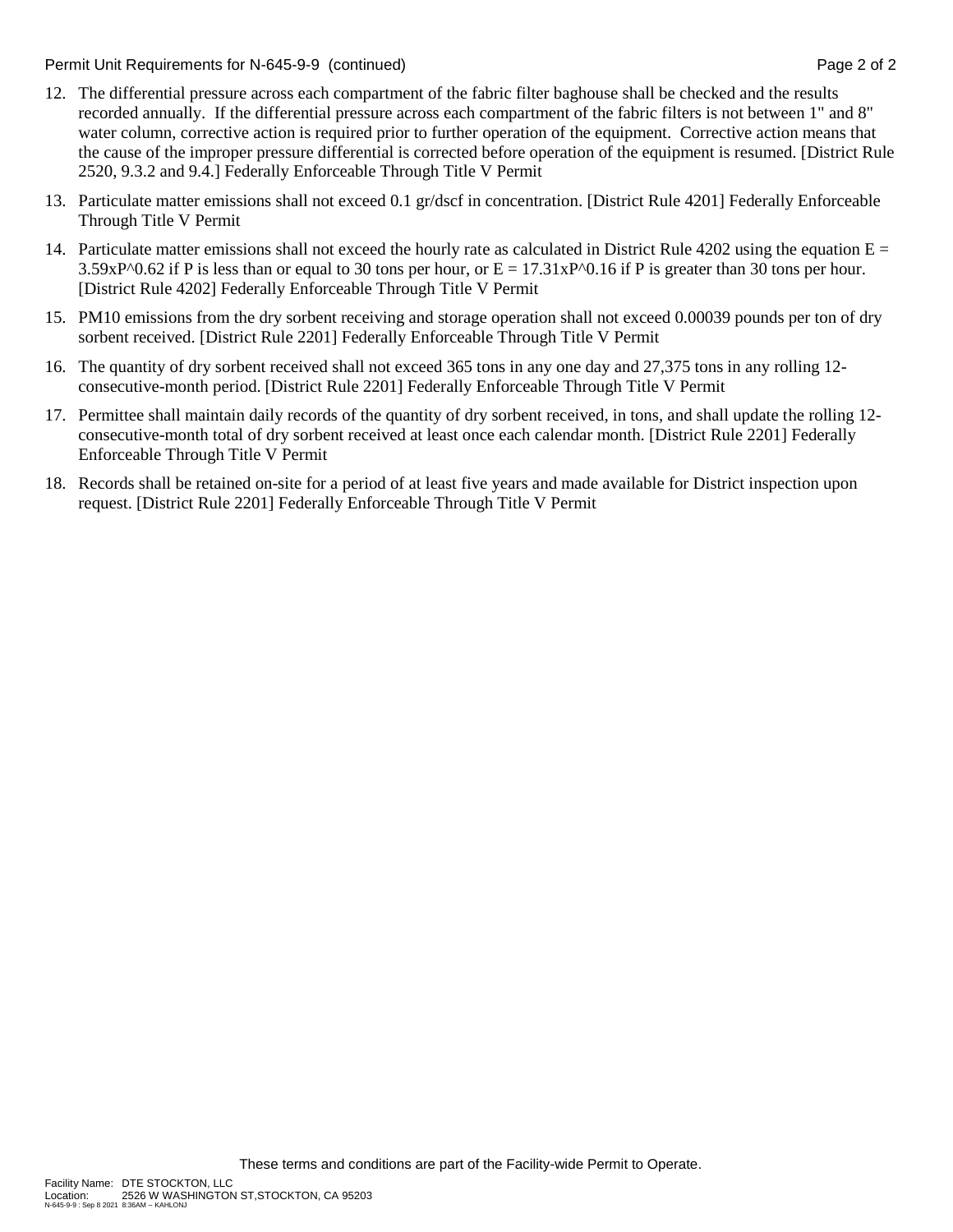Permit Unit Requirements for N-645-9-9 (continued) **Page 2** of 2

- 12. The differential pressure across each compartment of the fabric filter baghouse shall be checked and the results recorded annually. If the differential pressure across each compartment of the fabric filters is not between 1" and 8" water column, corrective action is required prior to further operation of the equipment. Corrective action means that the cause of the improper pressure differential is corrected before operation of the equipment is resumed. [District Rule 2520, 9.3.2 and 9.4.] Federally Enforceable Through Title V Permit
- 13. Particulate matter emissions shall not exceed 0.1 gr/dscf in concentration. [District Rule 4201] Federally Enforceable Through Title V Permit
- 14. Particulate matter emissions shall not exceed the hourly rate as calculated in District Rule 4202 using the equation  $E =$  $3.59xP^00.62$  if P is less than or equal to 30 tons per hour, or  $E = 17.31xP^00.16$  if P is greater than 30 tons per hour. [District Rule 4202] Federally Enforceable Through Title V Permit
- 15. PM10 emissions from the dry sorbent receiving and storage operation shall not exceed 0.00039 pounds per ton of dry sorbent received. [District Rule 2201] Federally Enforceable Through Title V Permit
- 16. The quantity of dry sorbent received shall not exceed 365 tons in any one day and 27,375 tons in any rolling 12 consecutive-month period. [District Rule 2201] Federally Enforceable Through Title V Permit
- 17. Permittee shall maintain daily records of the quantity of dry sorbent received, in tons, and shall update the rolling 12 consecutive-month total of dry sorbent received at least once each calendar month. [District Rule 2201] Federally Enforceable Through Title V Permit
- 18. Records shall be retained on-site for a period of at least five years and made available for District inspection upon request. [District Rule 2201] Federally Enforceable Through Title V Permit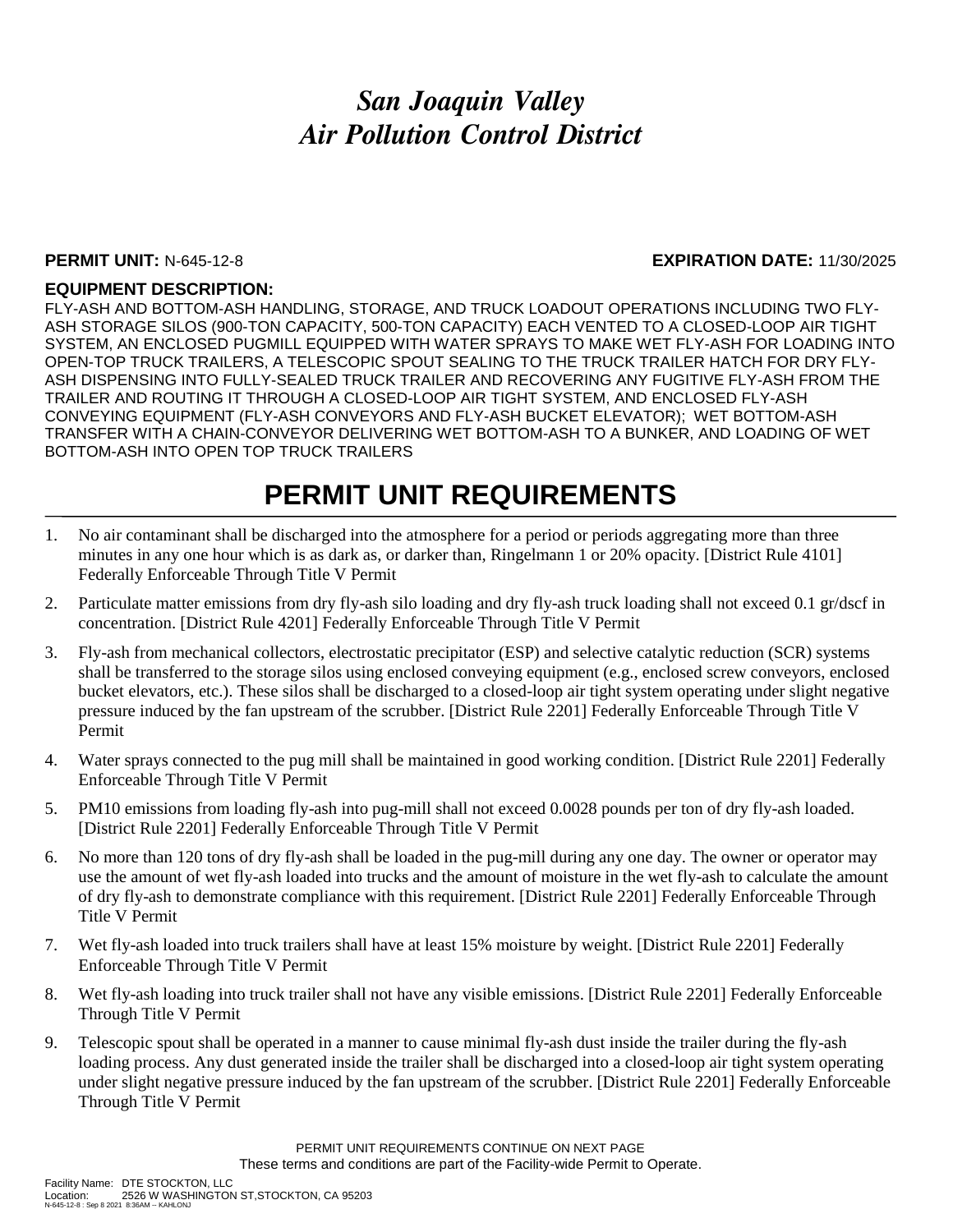#### **PERMIT UNIT:** N-645-12-8 **EXPIRATION DATE:** 11/30/2025

#### **EQUIPMENT DESCRIPTION:**

FLY-ASH AND BOTTOM-ASH HANDLING, STORAGE, AND TRUCK LOADOUT OPERATIONS INCLUDING TWO FLY-ASH STORAGE SILOS (900-TON CAPACITY, 500-TON CAPACITY) EACH VENTED TO A CLOSED-LOOP AIR TIGHT SYSTEM, AN ENCLOSED PUGMILL EQUIPPED WITH WATER SPRAYS TO MAKE WET FLY-ASH FOR LOADING INTO OPEN-TOP TRUCK TRAILERS, A TELESCOPIC SPOUT SEALING TO THE TRUCK TRAILER HATCH FOR DRY FLY-ASH DISPENSING INTO FULLY-SEALED TRUCK TRAILER AND RECOVERING ANY FUGITIVE FLY-ASH FROM THE TRAILER AND ROUTING IT THROUGH A CLOSED-LOOP AIR TIGHT SYSTEM, AND ENCLOSED FLY-ASH CONVEYING EQUIPMENT (FLY-ASH CONVEYORS AND FLY-ASH BUCKET ELEVATOR); WET BOTTOM-ASH TRANSFER WITH A CHAIN-CONVEYOR DELIVERING WET BOTTOM-ASH TO A BUNKER, AND LOADING OF WET BOTTOM-ASH INTO OPEN TOP TRUCK TRAILERS

## **PERMIT UNIT REQUIREMENTS**

- 1. No air contaminant shall be discharged into the atmosphere for a period or periods aggregating more than three minutes in any one hour which is as dark as, or darker than, Ringelmann 1 or 20% opacity. [District Rule 4101] Federally Enforceable Through Title V Permit
- 2. Particulate matter emissions from dry fly-ash silo loading and dry fly-ash truck loading shall not exceed 0.1 gr/dscf in concentration. [District Rule 4201] Federally Enforceable Through Title V Permit
- 3. Fly-ash from mechanical collectors, electrostatic precipitator (ESP) and selective catalytic reduction (SCR) systems shall be transferred to the storage silos using enclosed conveying equipment (e.g., enclosed screw conveyors, enclosed bucket elevators, etc.). These silos shall be discharged to a closed-loop air tight system operating under slight negative pressure induced by the fan upstream of the scrubber. [District Rule 2201] Federally Enforceable Through Title V Permit
- 4. Water sprays connected to the pug mill shall be maintained in good working condition. [District Rule 2201] Federally Enforceable Through Title V Permit
- 5. PM10 emissions from loading fly-ash into pug-mill shall not exceed 0.0028 pounds per ton of dry fly-ash loaded. [District Rule 2201] Federally Enforceable Through Title V Permit
- 6. No more than 120 tons of dry fly-ash shall be loaded in the pug-mill during any one day. The owner or operator may use the amount of wet fly-ash loaded into trucks and the amount of moisture in the wet fly-ash to calculate the amount of dry fly-ash to demonstrate compliance with this requirement. [District Rule 2201] Federally Enforceable Through Title V Permit
- 7. Wet fly-ash loaded into truck trailers shall have at least 15% moisture by weight. [District Rule 2201] Federally Enforceable Through Title V Permit
- 8. Wet fly-ash loading into truck trailer shall not have any visible emissions. [District Rule 2201] Federally Enforceable Through Title V Permit
- 9. Telescopic spout shall be operated in a manner to cause minimal fly-ash dust inside the trailer during the fly-ash loading process. Any dust generated inside the trailer shall be discharged into a closed-loop air tight system operating under slight negative pressure induced by the fan upstream of the scrubber. [District Rule 2201] Federally Enforceable Through Title V Permit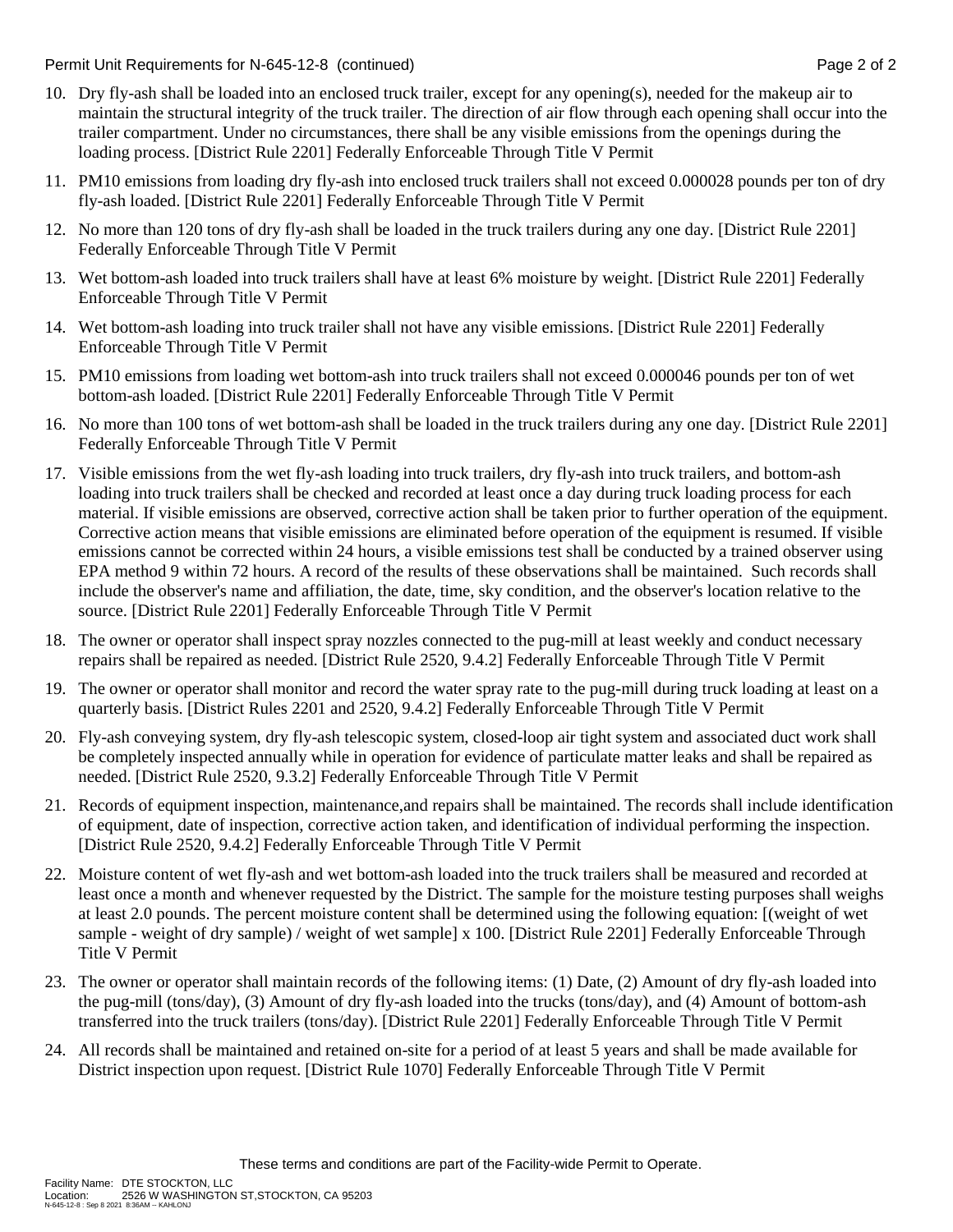Permit Unit Requirements for N-645-12-8 (continued) **Page 2** of 2

- 10. Dry fly-ash shall be loaded into an enclosed truck trailer, except for any opening(s), needed for the makeup air to maintain the structural integrity of the truck trailer. The direction of air flow through each opening shall occur into the trailer compartment. Under no circumstances, there shall be any visible emissions from the openings during the loading process. [District Rule 2201] Federally Enforceable Through Title V Permit
- 11. PM10 emissions from loading dry fly-ash into enclosed truck trailers shall not exceed 0.000028 pounds per ton of dry fly-ash loaded. [District Rule 2201] Federally Enforceable Through Title V Permit
- 12. No more than 120 tons of dry fly-ash shall be loaded in the truck trailers during any one day. [District Rule 2201] Federally Enforceable Through Title V Permit
- 13. Wet bottom-ash loaded into truck trailers shall have at least 6% moisture by weight. [District Rule 2201] Federally Enforceable Through Title V Permit
- 14. Wet bottom-ash loading into truck trailer shall not have any visible emissions. [District Rule 2201] Federally Enforceable Through Title V Permit
- 15. PM10 emissions from loading wet bottom-ash into truck trailers shall not exceed 0.000046 pounds per ton of wet bottom-ash loaded. [District Rule 2201] Federally Enforceable Through Title V Permit
- 16. No more than 100 tons of wet bottom-ash shall be loaded in the truck trailers during any one day. [District Rule 2201] Federally Enforceable Through Title V Permit
- 17. Visible emissions from the wet fly-ash loading into truck trailers, dry fly-ash into truck trailers, and bottom-ash loading into truck trailers shall be checked and recorded at least once a day during truck loading process for each material. If visible emissions are observed, corrective action shall be taken prior to further operation of the equipment. Corrective action means that visible emissions are eliminated before operation of the equipment is resumed. If visible emissions cannot be corrected within 24 hours, a visible emissions test shall be conducted by a trained observer using EPA method 9 within 72 hours. A record of the results of these observations shall be maintained. Such records shall include the observer's name and affiliation, the date, time, sky condition, and the observer's location relative to the source. [District Rule 2201] Federally Enforceable Through Title V Permit
- 18. The owner or operator shall inspect spray nozzles connected to the pug-mill at least weekly and conduct necessary repairs shall be repaired as needed. [District Rule 2520, 9.4.2] Federally Enforceable Through Title V Permit
- 19. The owner or operator shall monitor and record the water spray rate to the pug-mill during truck loading at least on a quarterly basis. [District Rules 2201 and 2520, 9.4.2] Federally Enforceable Through Title V Permit
- 20. Fly-ash conveying system, dry fly-ash telescopic system, closed-loop air tight system and associated duct work shall be completely inspected annually while in operation for evidence of particulate matter leaks and shall be repaired as needed. [District Rule 2520, 9.3.2] Federally Enforceable Through Title V Permit
- 21. Records of equipment inspection, maintenance,and repairs shall be maintained. The records shall include identification of equipment, date of inspection, corrective action taken, and identification of individual performing the inspection. [District Rule 2520, 9.4.2] Federally Enforceable Through Title V Permit
- 22. Moisture content of wet fly-ash and wet bottom-ash loaded into the truck trailers shall be measured and recorded at least once a month and whenever requested by the District. The sample for the moisture testing purposes shall weighs at least 2.0 pounds. The percent moisture content shall be determined using the following equation: [(weight of wet sample - weight of dry sample) / weight of wet sample] x 100. [District Rule 2201] Federally Enforceable Through Title V Permit
- 23. The owner or operator shall maintain records of the following items: (1) Date, (2) Amount of dry fly-ash loaded into the pug-mill (tons/day), (3) Amount of dry fly-ash loaded into the trucks (tons/day), and (4) Amount of bottom-ash transferred into the truck trailers (tons/day). [District Rule 2201] Federally Enforceable Through Title V Permit
- 24. All records shall be maintained and retained on-site for a period of at least 5 years and shall be made available for District inspection upon request. [District Rule 1070] Federally Enforceable Through Title V Permit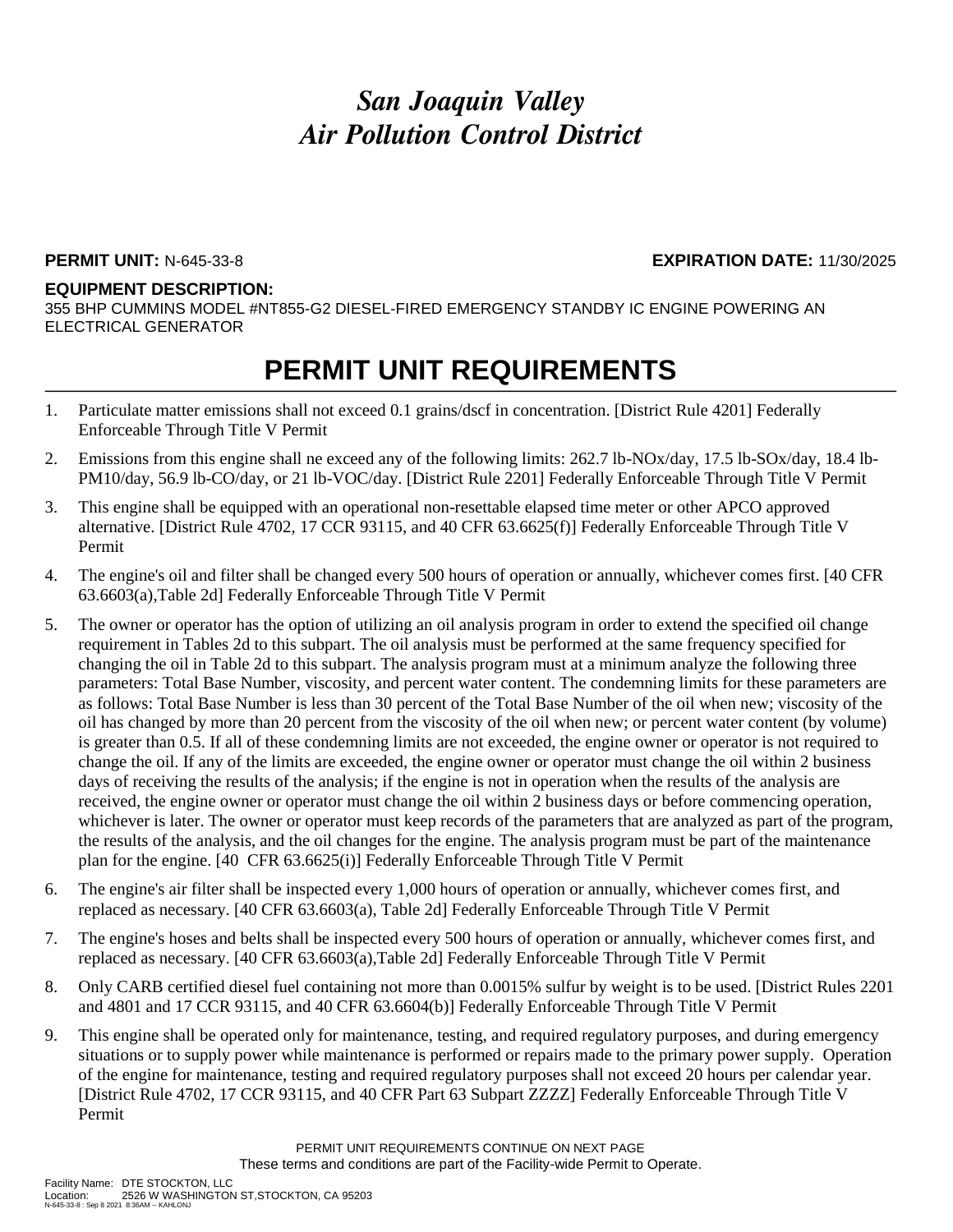#### **PERMIT UNIT:** N-645-33-8 **EXPIRATION DATE:** 11/30/2025

#### **EQUIPMENT DESCRIPTION:**

355 BHP CUMMINS MODEL #NT855-G2 DIESEL-FIRED EMERGENCY STANDBY IC ENGINE POWERING AN ELECTRICAL GENERATOR

## **PERMIT UNIT REQUIREMENTS**

- 1. Particulate matter emissions shall not exceed 0.1 grains/dscf in concentration. [District Rule 4201] Federally Enforceable Through Title V Permit
- 2. Emissions from this engine shall ne exceed any of the following limits: 262.7 lb-NOx/day, 17.5 lb-SOx/day, 18.4 lb-PM10/day, 56.9 lb-CO/day, or 21 lb-VOC/day. [District Rule 2201] Federally Enforceable Through Title V Permit
- 3. This engine shall be equipped with an operational non-resettable elapsed time meter or other APCO approved alternative. [District Rule 4702, 17 CCR 93115, and 40 CFR 63.6625(f)] Federally Enforceable Through Title V Permit
- 4. The engine's oil and filter shall be changed every 500 hours of operation or annually, whichever comes first. [40 CFR 63.6603(a),Table 2d] Federally Enforceable Through Title V Permit
- 5. The owner or operator has the option of utilizing an oil analysis program in order to extend the specified oil change requirement in Tables 2d to this subpart. The oil analysis must be performed at the same frequency specified for changing the oil in Table 2d to this subpart. The analysis program must at a minimum analyze the following three parameters: Total Base Number, viscosity, and percent water content. The condemning limits for these parameters are as follows: Total Base Number is less than 30 percent of the Total Base Number of the oil when new; viscosity of the oil has changed by more than 20 percent from the viscosity of the oil when new; or percent water content (by volume) is greater than 0.5. If all of these condemning limits are not exceeded, the engine owner or operator is not required to change the oil. If any of the limits are exceeded, the engine owner or operator must change the oil within 2 business days of receiving the results of the analysis; if the engine is not in operation when the results of the analysis are received, the engine owner or operator must change the oil within 2 business days or before commencing operation, whichever is later. The owner or operator must keep records of the parameters that are analyzed as part of the program, the results of the analysis, and the oil changes for the engine. The analysis program must be part of the maintenance plan for the engine. [40 CFR 63.6625(i)] Federally Enforceable Through Title V Permit
- 6. The engine's air filter shall be inspected every 1,000 hours of operation or annually, whichever comes first, and replaced as necessary. [40 CFR 63.6603(a), Table 2d] Federally Enforceable Through Title V Permit
- 7. The engine's hoses and belts shall be inspected every 500 hours of operation or annually, whichever comes first, and replaced as necessary. [40 CFR 63.6603(a),Table 2d] Federally Enforceable Through Title V Permit
- 8. Only CARB certified diesel fuel containing not more than 0.0015% sulfur by weight is to be used. [District Rules 2201 and 4801 and 17 CCR 93115, and 40 CFR 63.6604(b)] Federally Enforceable Through Title V Permit
- 9. This engine shall be operated only for maintenance, testing, and required regulatory purposes, and during emergency situations or to supply power while maintenance is performed or repairs made to the primary power supply. Operation of the engine for maintenance, testing and required regulatory purposes shall not exceed 20 hours per calendar year. [District Rule 4702, 17 CCR 93115, and 40 CFR Part 63 Subpart ZZZZ] Federally Enforceable Through Title V Permit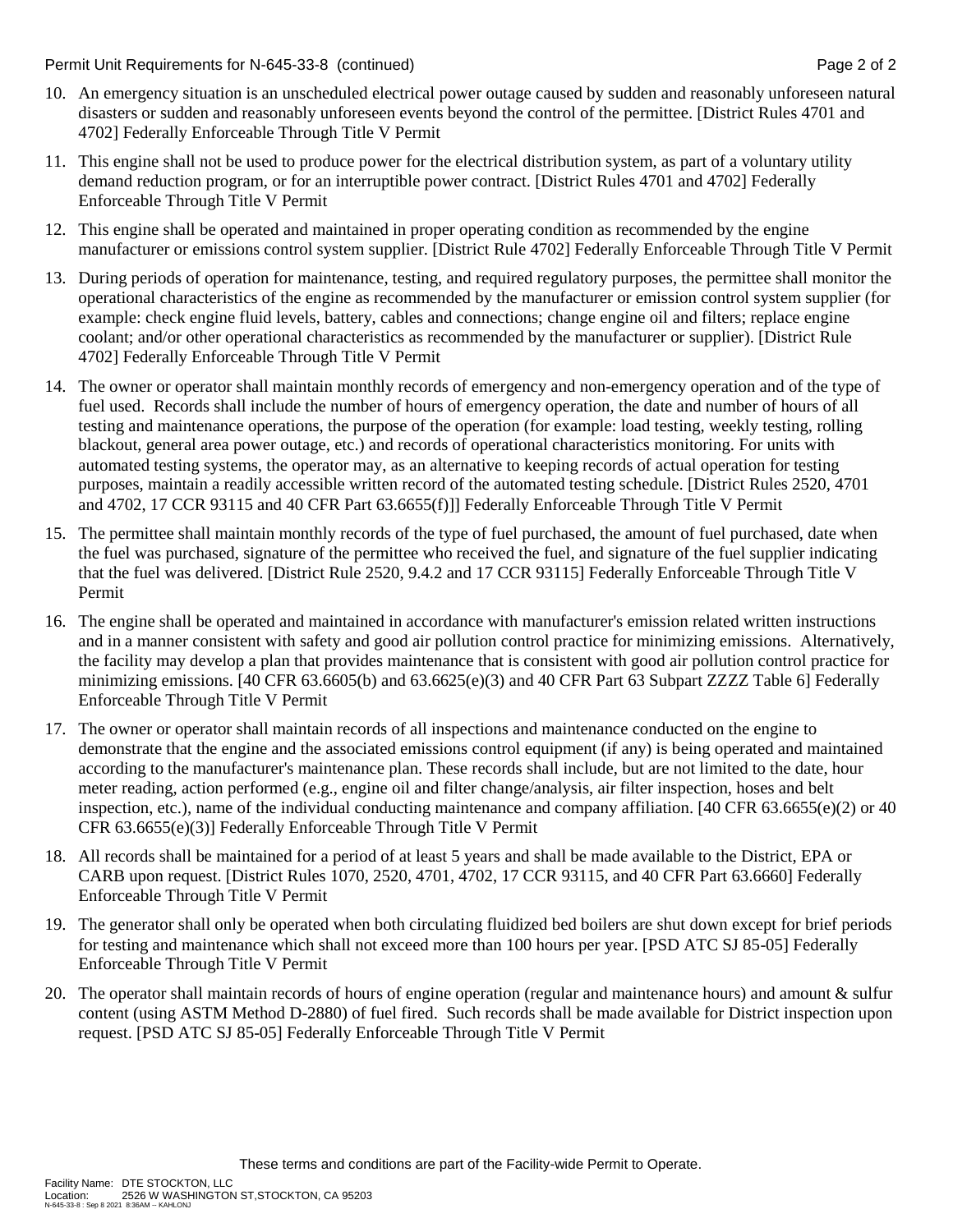Permit Unit Requirements for N-645-33-8 (continued) **Page 2** of 2

- 10. An emergency situation is an unscheduled electrical power outage caused by sudden and reasonably unforeseen natural disasters or sudden and reasonably unforeseen events beyond the control of the permittee. [District Rules 4701 and 4702] Federally Enforceable Through Title V Permit
- 11. This engine shall not be used to produce power for the electrical distribution system, as part of a voluntary utility demand reduction program, or for an interruptible power contract. [District Rules 4701 and 4702] Federally Enforceable Through Title V Permit
- 12. This engine shall be operated and maintained in proper operating condition as recommended by the engine manufacturer or emissions control system supplier. [District Rule 4702] Federally Enforceable Through Title V Permit
- 13. During periods of operation for maintenance, testing, and required regulatory purposes, the permittee shall monitor the operational characteristics of the engine as recommended by the manufacturer or emission control system supplier (for example: check engine fluid levels, battery, cables and connections; change engine oil and filters; replace engine coolant; and/or other operational characteristics as recommended by the manufacturer or supplier). [District Rule 4702] Federally Enforceable Through Title V Permit
- 14. The owner or operator shall maintain monthly records of emergency and non-emergency operation and of the type of fuel used. Records shall include the number of hours of emergency operation, the date and number of hours of all testing and maintenance operations, the purpose of the operation (for example: load testing, weekly testing, rolling blackout, general area power outage, etc.) and records of operational characteristics monitoring. For units with automated testing systems, the operator may, as an alternative to keeping records of actual operation for testing purposes, maintain a readily accessible written record of the automated testing schedule. [District Rules 2520, 4701 and 4702, 17 CCR 93115 and 40 CFR Part 63.6655(f)]] Federally Enforceable Through Title V Permit
- 15. The permittee shall maintain monthly records of the type of fuel purchased, the amount of fuel purchased, date when the fuel was purchased, signature of the permittee who received the fuel, and signature of the fuel supplier indicating that the fuel was delivered. [District Rule 2520, 9.4.2 and 17 CCR 93115] Federally Enforceable Through Title V Permit
- 16. The engine shall be operated and maintained in accordance with manufacturer's emission related written instructions and in a manner consistent with safety and good air pollution control practice for minimizing emissions. Alternatively, the facility may develop a plan that provides maintenance that is consistent with good air pollution control practice for minimizing emissions. [40 CFR 63.6605(b) and 63.6625(e)(3) and 40 CFR Part 63 Subpart ZZZZ Table 6] Federally Enforceable Through Title V Permit
- 17. The owner or operator shall maintain records of all inspections and maintenance conducted on the engine to demonstrate that the engine and the associated emissions control equipment (if any) is being operated and maintained according to the manufacturer's maintenance plan. These records shall include, but are not limited to the date, hour meter reading, action performed (e.g., engine oil and filter change/analysis, air filter inspection, hoses and belt inspection, etc.), name of the individual conducting maintenance and company affiliation. [40 CFR 63.6655(e)(2) or 40 CFR 63.6655(e)(3)] Federally Enforceable Through Title V Permit
- 18. All records shall be maintained for a period of at least 5 years and shall be made available to the District, EPA or CARB upon request. [District Rules 1070, 2520, 4701, 4702, 17 CCR 93115, and 40 CFR Part 63.6660] Federally Enforceable Through Title V Permit
- 19. The generator shall only be operated when both circulating fluidized bed boilers are shut down except for brief periods for testing and maintenance which shall not exceed more than 100 hours per year. [PSD ATC SJ 85-05] Federally Enforceable Through Title V Permit
- 20. The operator shall maintain records of hours of engine operation (regular and maintenance hours) and amount & sulfur content (using ASTM Method D-2880) of fuel fired. Such records shall be made available for District inspection upon request. [PSD ATC SJ 85-05] Federally Enforceable Through Title V Permit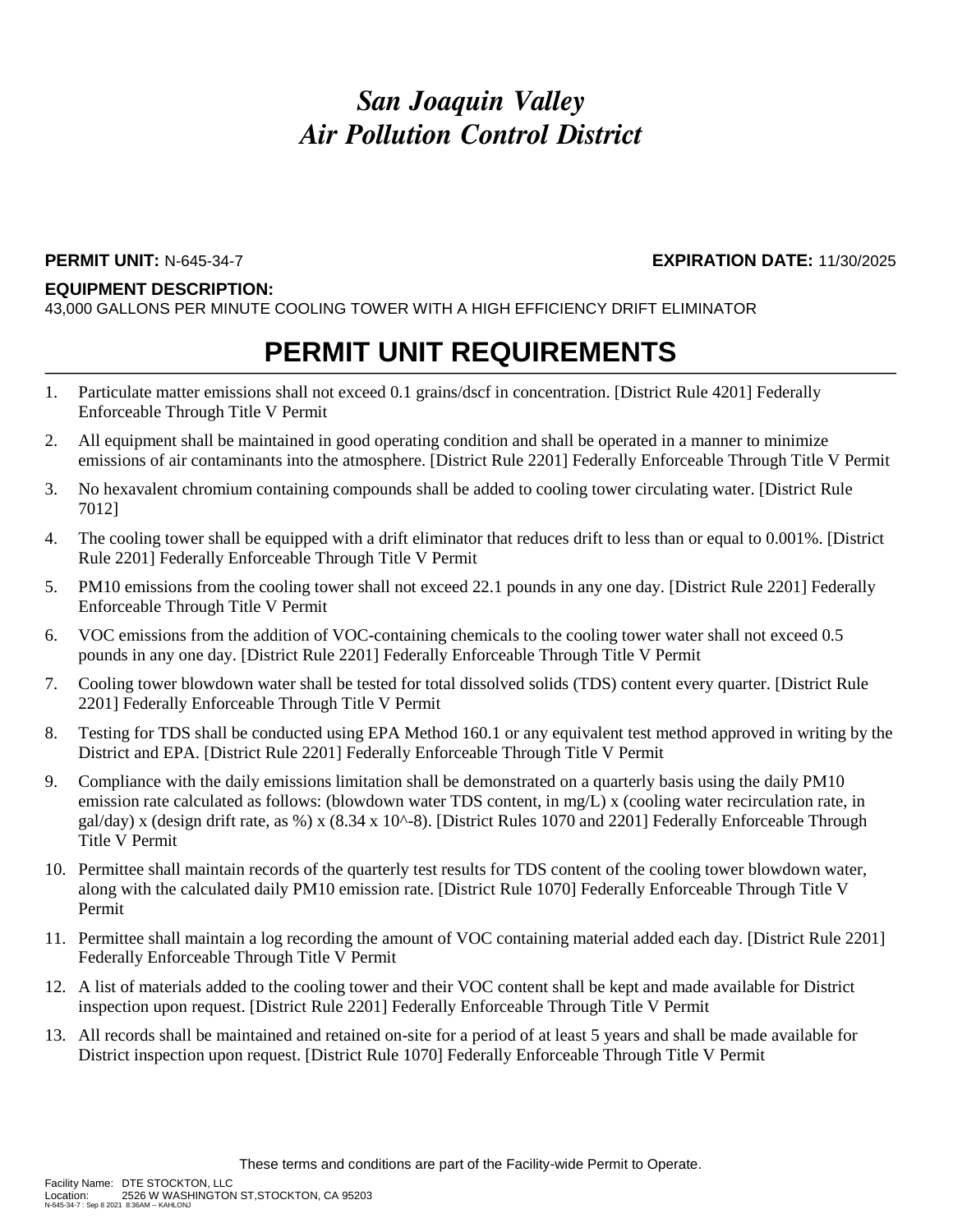### **PERMIT UNIT:** N-645-34-7 **EXPIRATION DATE:** 11/30/2025

#### **EQUIPMENT DESCRIPTION:**

43,000 GALLONS PER MINUTE COOLING TOWER WITH A HIGH EFFICIENCY DRIFT ELIMINATOR

## **PERMIT UNIT REQUIREMENTS**

- 1. Particulate matter emissions shall not exceed 0.1 grains/dscf in concentration. [District Rule 4201] Federally Enforceable Through Title V Permit
- 2. All equipment shall be maintained in good operating condition and shall be operated in a manner to minimize emissions of air contaminants into the atmosphere. [District Rule 2201] Federally Enforceable Through Title V Permit
- 3. No hexavalent chromium containing compounds shall be added to cooling tower circulating water. [District Rule 7012]
- 4. The cooling tower shall be equipped with a drift eliminator that reduces drift to less than or equal to 0.001%. [District Rule 2201] Federally Enforceable Through Title V Permit
- 5. PM10 emissions from the cooling tower shall not exceed 22.1 pounds in any one day. [District Rule 2201] Federally Enforceable Through Title V Permit
- 6. VOC emissions from the addition of VOC-containing chemicals to the cooling tower water shall not exceed 0.5 pounds in any one day. [District Rule 2201] Federally Enforceable Through Title V Permit
- 7. Cooling tower blowdown water shall be tested for total dissolved solids (TDS) content every quarter. [District Rule 2201] Federally Enforceable Through Title V Permit
- 8. Testing for TDS shall be conducted using EPA Method 160.1 or any equivalent test method approved in writing by the District and EPA. [District Rule 2201] Federally Enforceable Through Title V Permit
- 9. Compliance with the daily emissions limitation shall be demonstrated on a quarterly basis using the daily PM10 emission rate calculated as follows: (blowdown water TDS content, in mg/L) x (cooling water recirculation rate, in gal/day) x (design drift rate, as %) x (8.34 x 10^-8). [District Rules 1070 and 2201] Federally Enforceable Through Title V Permit
- 10. Permittee shall maintain records of the quarterly test results for TDS content of the cooling tower blowdown water, along with the calculated daily PM10 emission rate. [District Rule 1070] Federally Enforceable Through Title V Permit
- 11. Permittee shall maintain a log recording the amount of VOC containing material added each day. [District Rule 2201] Federally Enforceable Through Title V Permit
- 12. A list of materials added to the cooling tower and their VOC content shall be kept and made available for District inspection upon request. [District Rule 2201] Federally Enforceable Through Title V Permit
- 13. All records shall be maintained and retained on-site for a period of at least 5 years and shall be made available for District inspection upon request. [District Rule 1070] Federally Enforceable Through Title V Permit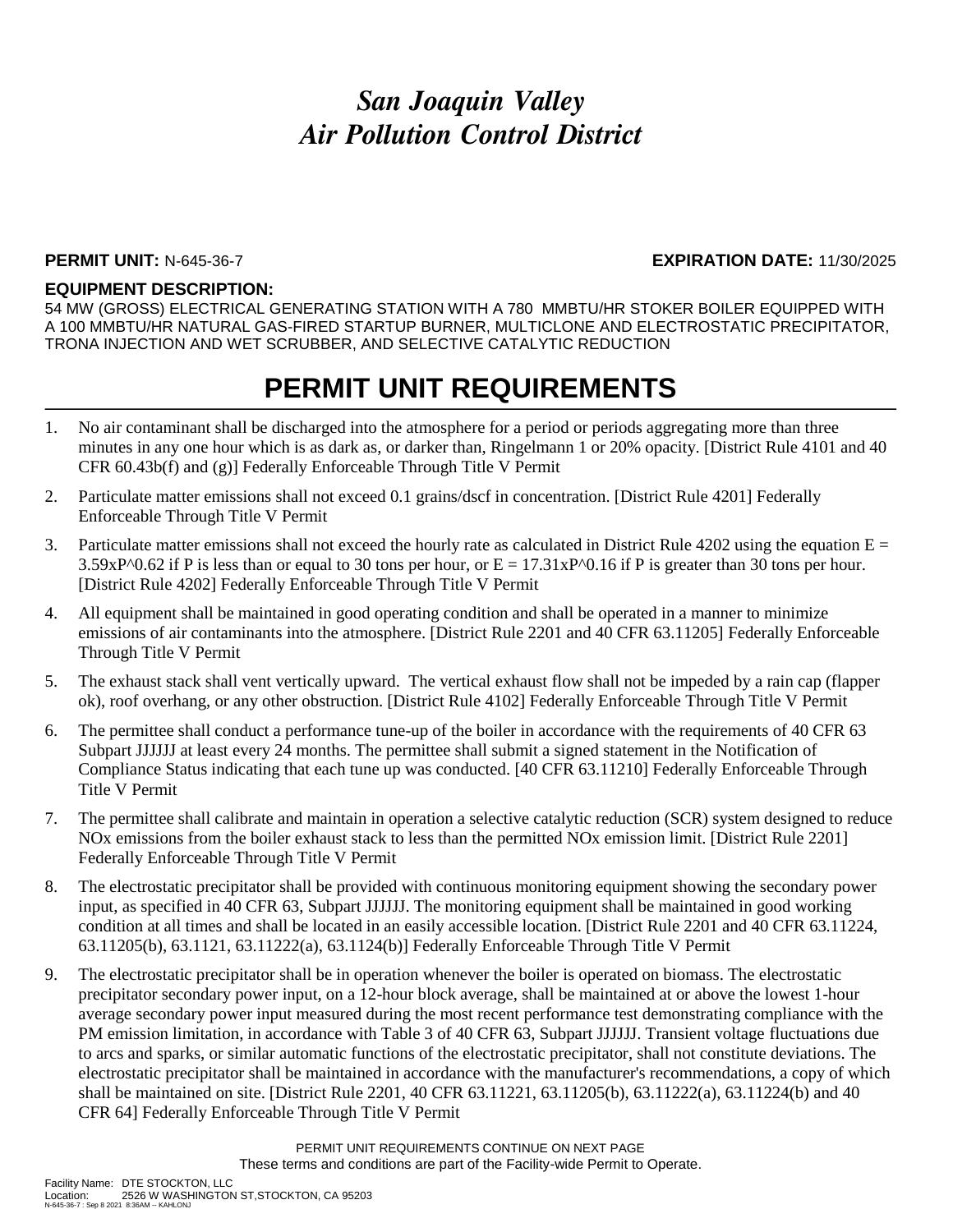#### **PERMIT UNIT:** N-645-36-7 **EXPIRATION DATE:** 11/30/2025

#### **EQUIPMENT DESCRIPTION:**

54 MW (GROSS) ELECTRICAL GENERATING STATION WITH A 780 MMBTU/HR STOKER BOILER EQUIPPED WITH A 100 MMBTU/HR NATURAL GAS-FIRED STARTUP BURNER, MULTICLONE AND ELECTROSTATIC PRECIPITATOR, TRONA INJECTION AND WET SCRUBBER, AND SELECTIVE CATALYTIC REDUCTION

## **PERMIT UNIT REQUIREMENTS**

- 1. No air contaminant shall be discharged into the atmosphere for a period or periods aggregating more than three minutes in any one hour which is as dark as, or darker than, Ringelmann 1 or 20% opacity. [District Rule 4101 and 40 CFR 60.43b(f) and (g)] Federally Enforceable Through Title V Permit
- 2. Particulate matter emissions shall not exceed 0.1 grains/dscf in concentration. [District Rule 4201] Federally Enforceable Through Title V Permit
- 3. Particulate matter emissions shall not exceed the hourly rate as calculated in District Rule 4202 using the equation  $E =$ 3.59xP^0.62 if P is less than or equal to 30 tons per hour, or  $E = 17.31xP^00.16$  if P is greater than 30 tons per hour. [District Rule 4202] Federally Enforceable Through Title V Permit
- 4. All equipment shall be maintained in good operating condition and shall be operated in a manner to minimize emissions of air contaminants into the atmosphere. [District Rule 2201 and 40 CFR 63.11205] Federally Enforceable Through Title V Permit
- 5. The exhaust stack shall vent vertically upward. The vertical exhaust flow shall not be impeded by a rain cap (flapper ok), roof overhang, or any other obstruction. [District Rule 4102] Federally Enforceable Through Title V Permit
- 6. The permittee shall conduct a performance tune-up of the boiler in accordance with the requirements of 40 CFR 63 Subpart JJJJJJ at least every 24 months. The permittee shall submit a signed statement in the Notification of Compliance Status indicating that each tune up was conducted. [40 CFR 63.11210] Federally Enforceable Through Title V Permit
- 7. The permittee shall calibrate and maintain in operation a selective catalytic reduction (SCR) system designed to reduce NOx emissions from the boiler exhaust stack to less than the permitted NOx emission limit. [District Rule 2201] Federally Enforceable Through Title V Permit
- 8. The electrostatic precipitator shall be provided with continuous monitoring equipment showing the secondary power input, as specified in 40 CFR 63, Subpart JJJJJJ. The monitoring equipment shall be maintained in good working condition at all times and shall be located in an easily accessible location. [District Rule 2201 and 40 CFR 63.11224, 63.11205(b), 63.1121, 63.11222(a), 63.1124(b)] Federally Enforceable Through Title V Permit
- 9. The electrostatic precipitator shall be in operation whenever the boiler is operated on biomass. The electrostatic precipitator secondary power input, on a 12-hour block average, shall be maintained at or above the lowest 1-hour average secondary power input measured during the most recent performance test demonstrating compliance with the PM emission limitation, in accordance with Table 3 of 40 CFR 63, Subpart JJJJJJ. Transient voltage fluctuations due to arcs and sparks, or similar automatic functions of the electrostatic precipitator, shall not constitute deviations. The electrostatic precipitator shall be maintained in accordance with the manufacturer's recommendations, a copy of which shall be maintained on site. [District Rule 2201, 40 CFR 63.11221, 63.11205(b), 63.11222(a), 63.11224(b) and 40 CFR 64] Federally Enforceable Through Title V Permit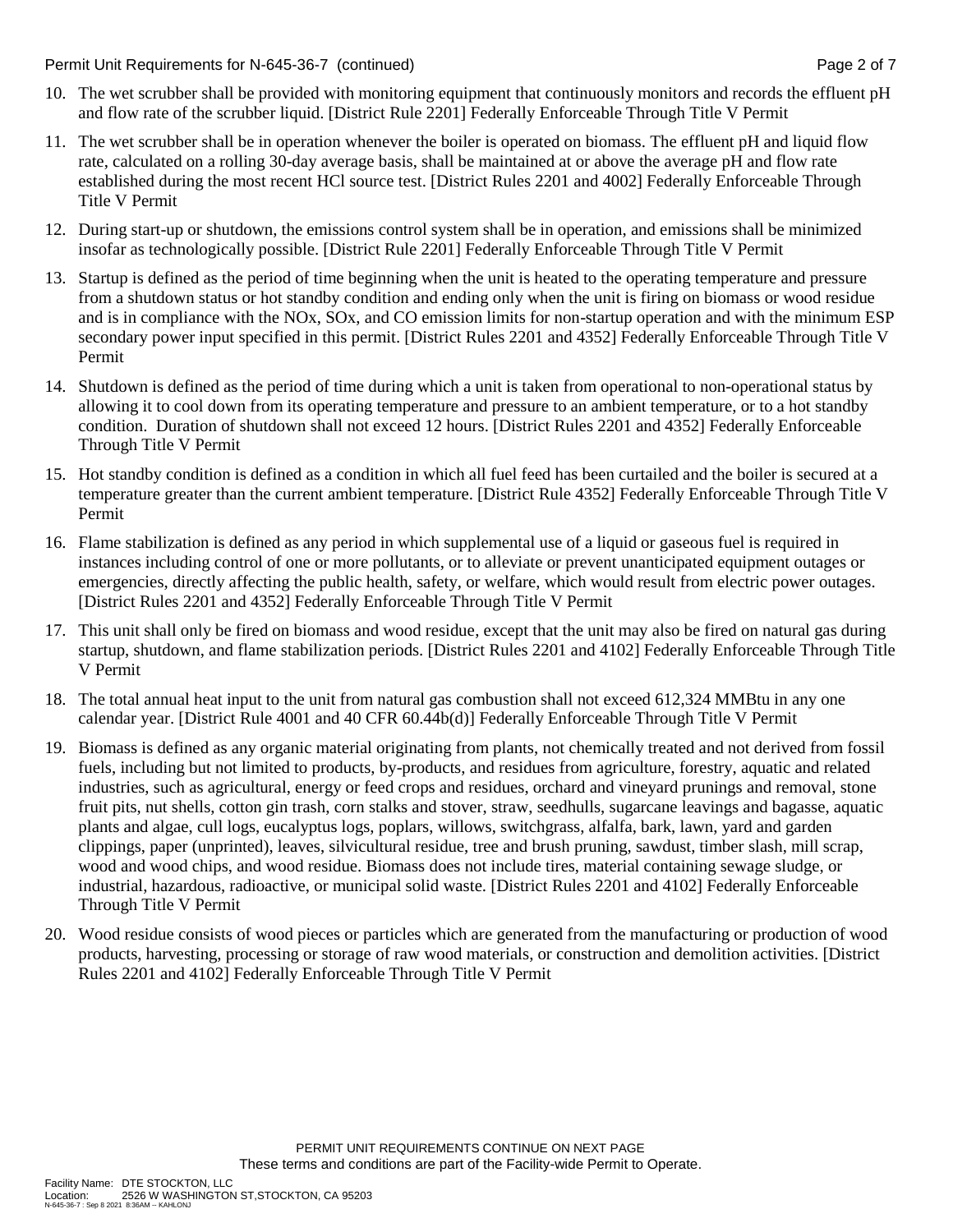Permit Unit Requirements for N-645-36-7 (continued) Page 2 of 7

- 10. The wet scrubber shall be provided with monitoring equipment that continuously monitors and records the effluent pH and flow rate of the scrubber liquid. [District Rule 2201] Federally Enforceable Through Title V Permit
- 11. The wet scrubber shall be in operation whenever the boiler is operated on biomass. The effluent pH and liquid flow rate, calculated on a rolling 30-day average basis, shall be maintained at or above the average pH and flow rate established during the most recent HCl source test. [District Rules 2201 and 4002] Federally Enforceable Through Title V Permit
- 12. During start-up or shutdown, the emissions control system shall be in operation, and emissions shall be minimized insofar as technologically possible. [District Rule 2201] Federally Enforceable Through Title V Permit
- 13. Startup is defined as the period of time beginning when the unit is heated to the operating temperature and pressure from a shutdown status or hot standby condition and ending only when the unit is firing on biomass or wood residue and is in compliance with the NOx, SOx, and CO emission limits for non-startup operation and with the minimum ESP secondary power input specified in this permit. [District Rules 2201 and 4352] Federally Enforceable Through Title V Permit
- 14. Shutdown is defined as the period of time during which a unit is taken from operational to non-operational status by allowing it to cool down from its operating temperature and pressure to an ambient temperature, or to a hot standby condition. Duration of shutdown shall not exceed 12 hours. [District Rules 2201 and 4352] Federally Enforceable Through Title V Permit
- 15. Hot standby condition is defined as a condition in which all fuel feed has been curtailed and the boiler is secured at a temperature greater than the current ambient temperature. [District Rule 4352] Federally Enforceable Through Title V Permit
- 16. Flame stabilization is defined as any period in which supplemental use of a liquid or gaseous fuel is required in instances including control of one or more pollutants, or to alleviate or prevent unanticipated equipment outages or emergencies, directly affecting the public health, safety, or welfare, which would result from electric power outages. [District Rules 2201 and 4352] Federally Enforceable Through Title V Permit
- 17. This unit shall only be fired on biomass and wood residue, except that the unit may also be fired on natural gas during startup, shutdown, and flame stabilization periods. [District Rules 2201 and 4102] Federally Enforceable Through Title V Permit
- 18. The total annual heat input to the unit from natural gas combustion shall not exceed 612,324 MMBtu in any one calendar year. [District Rule 4001 and 40 CFR 60.44b(d)] Federally Enforceable Through Title V Permit
- 19. Biomass is defined as any organic material originating from plants, not chemically treated and not derived from fossil fuels, including but not limited to products, by-products, and residues from agriculture, forestry, aquatic and related industries, such as agricultural, energy or feed crops and residues, orchard and vineyard prunings and removal, stone fruit pits, nut shells, cotton gin trash, corn stalks and stover, straw, seedhulls, sugarcane leavings and bagasse, aquatic plants and algae, cull logs, eucalyptus logs, poplars, willows, switchgrass, alfalfa, bark, lawn, yard and garden clippings, paper (unprinted), leaves, silvicultural residue, tree and brush pruning, sawdust, timber slash, mill scrap, wood and wood chips, and wood residue. Biomass does not include tires, material containing sewage sludge, or industrial, hazardous, radioactive, or municipal solid waste. [District Rules 2201 and 4102] Federally Enforceable Through Title V Permit
- 20. Wood residue consists of wood pieces or particles which are generated from the manufacturing or production of wood products, harvesting, processing or storage of raw wood materials, or construction and demolition activities. [District Rules 2201 and 4102] Federally Enforceable Through Title V Permit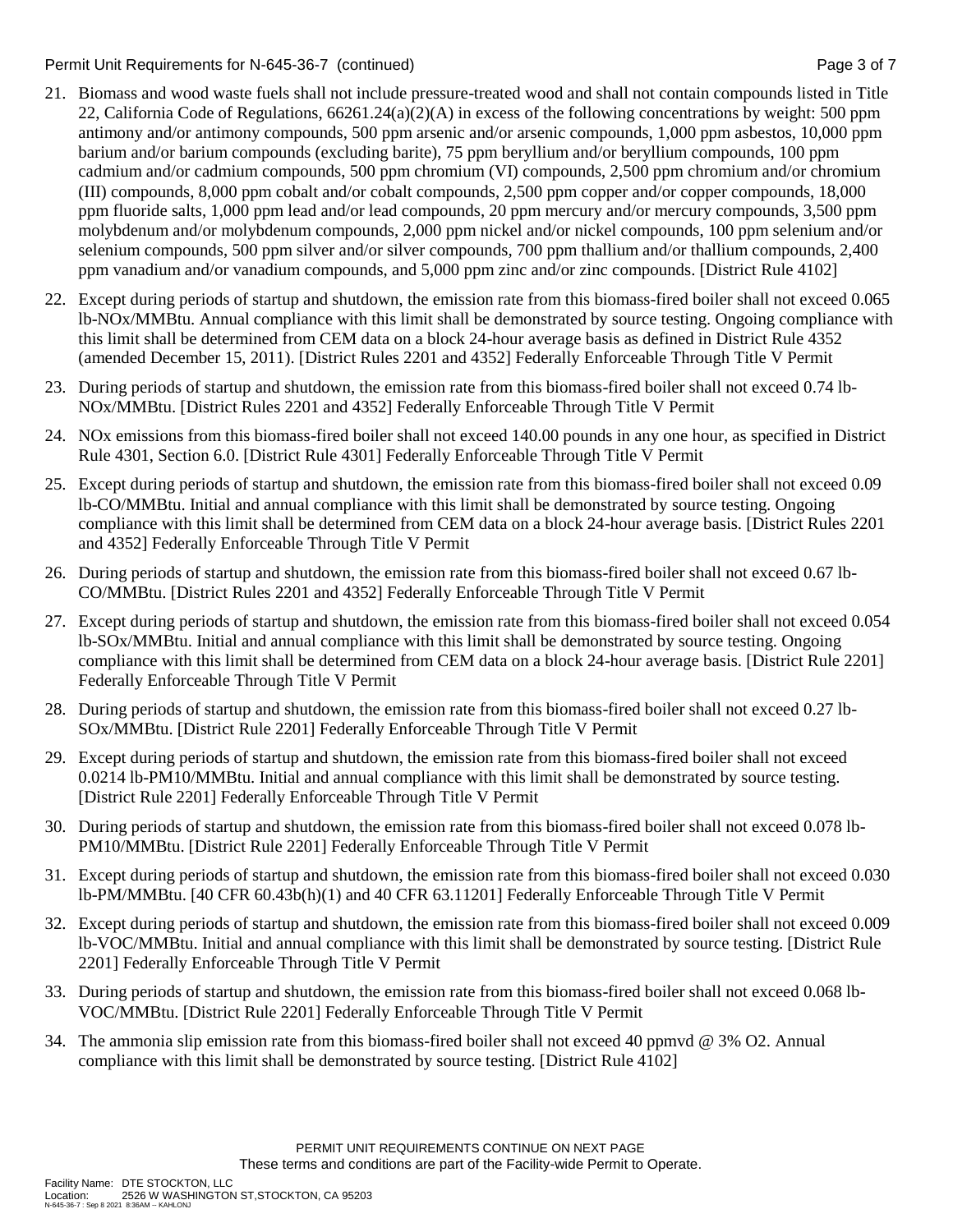Permit Unit Requirements for N-645-36-7 (continued) Page 3 of 7

- 21. Biomass and wood waste fuels shall not include pressure-treated wood and shall not contain compounds listed in Title 22, California Code of Regulations, 66261.24(a)(2)(A) in excess of the following concentrations by weight: 500 ppm antimony and/or antimony compounds, 500 ppm arsenic and/or arsenic compounds, 1,000 ppm asbestos, 10,000 ppm barium and/or barium compounds (excluding barite), 75 ppm beryllium and/or beryllium compounds, 100 ppm cadmium and/or cadmium compounds, 500 ppm chromium (VI) compounds, 2,500 ppm chromium and/or chromium (III) compounds, 8,000 ppm cobalt and/or cobalt compounds, 2,500 ppm copper and/or copper compounds, 18,000 ppm fluoride salts, 1,000 ppm lead and/or lead compounds, 20 ppm mercury and/or mercury compounds, 3,500 ppm molybdenum and/or molybdenum compounds, 2,000 ppm nickel and/or nickel compounds, 100 ppm selenium and/or selenium compounds, 500 ppm silver and/or silver compounds, 700 ppm thallium and/or thallium compounds, 2,400 ppm vanadium and/or vanadium compounds, and 5,000 ppm zinc and/or zinc compounds. [District Rule 4102]
- 22. Except during periods of startup and shutdown, the emission rate from this biomass-fired boiler shall not exceed 0.065 lb-NOx/MMBtu. Annual compliance with this limit shall be demonstrated by source testing. Ongoing compliance with this limit shall be determined from CEM data on a block 24-hour average basis as defined in District Rule 4352 (amended December 15, 2011). [District Rules 2201 and 4352] Federally Enforceable Through Title V Permit
- 23. During periods of startup and shutdown, the emission rate from this biomass-fired boiler shall not exceed 0.74 lb-NOx/MMBtu. [District Rules 2201 and 4352] Federally Enforceable Through Title V Permit
- 24. NOx emissions from this biomass-fired boiler shall not exceed 140.00 pounds in any one hour, as specified in District Rule 4301, Section 6.0. [District Rule 4301] Federally Enforceable Through Title V Permit
- 25. Except during periods of startup and shutdown, the emission rate from this biomass-fired boiler shall not exceed 0.09 lb-CO/MMBtu. Initial and annual compliance with this limit shall be demonstrated by source testing. Ongoing compliance with this limit shall be determined from CEM data on a block 24-hour average basis. [District Rules 2201 and 4352] Federally Enforceable Through Title V Permit
- 26. During periods of startup and shutdown, the emission rate from this biomass-fired boiler shall not exceed 0.67 lb-CO/MMBtu. [District Rules 2201 and 4352] Federally Enforceable Through Title V Permit
- 27. Except during periods of startup and shutdown, the emission rate from this biomass-fired boiler shall not exceed 0.054 lb-SOx/MMBtu. Initial and annual compliance with this limit shall be demonstrated by source testing. Ongoing compliance with this limit shall be determined from CEM data on a block 24-hour average basis. [District Rule 2201] Federally Enforceable Through Title V Permit
- 28. During periods of startup and shutdown, the emission rate from this biomass-fired boiler shall not exceed 0.27 lb-SOx/MMBtu. [District Rule 2201] Federally Enforceable Through Title V Permit
- 29. Except during periods of startup and shutdown, the emission rate from this biomass-fired boiler shall not exceed 0.0214 lb-PM10/MMBtu. Initial and annual compliance with this limit shall be demonstrated by source testing. [District Rule 2201] Federally Enforceable Through Title V Permit
- 30. During periods of startup and shutdown, the emission rate from this biomass-fired boiler shall not exceed 0.078 lb-PM10/MMBtu. [District Rule 2201] Federally Enforceable Through Title V Permit
- 31. Except during periods of startup and shutdown, the emission rate from this biomass-fired boiler shall not exceed 0.030 lb-PM/MMBtu. [40 CFR 60.43b(h)(1) and 40 CFR 63.11201] Federally Enforceable Through Title V Permit
- 32. Except during periods of startup and shutdown, the emission rate from this biomass-fired boiler shall not exceed 0.009 lb-VOC/MMBtu. Initial and annual compliance with this limit shall be demonstrated by source testing. [District Rule 2201] Federally Enforceable Through Title V Permit
- 33. During periods of startup and shutdown, the emission rate from this biomass-fired boiler shall not exceed 0.068 lb-VOC/MMBtu. [District Rule 2201] Federally Enforceable Through Title V Permit
- 34. The ammonia slip emission rate from this biomass-fired boiler shall not exceed 40 ppmvd @ 3% O2. Annual compliance with this limit shall be demonstrated by source testing. [District Rule 4102]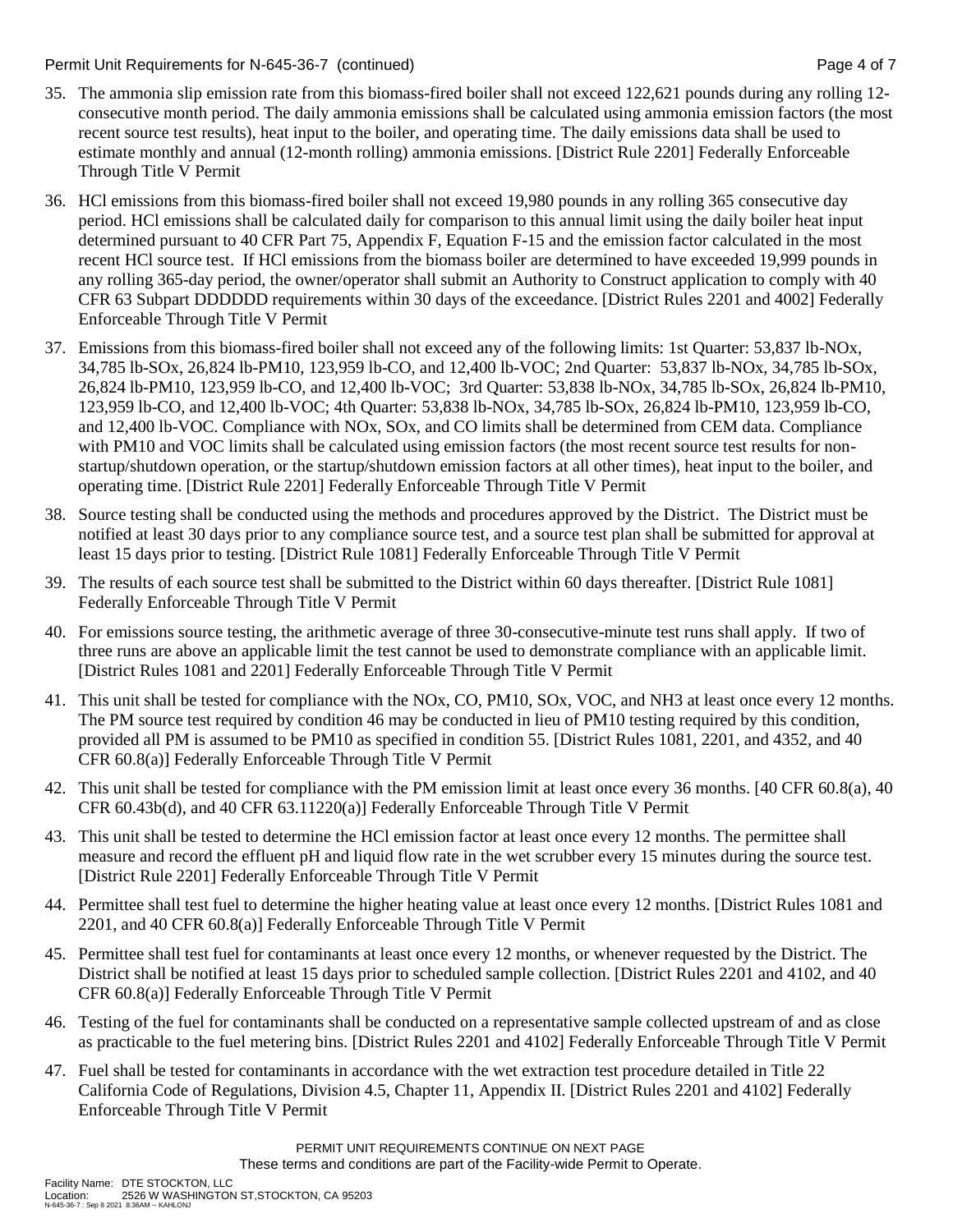#### Permit Unit Requirements for N-645-36-7 (continued) Page 4 of 7

- 35. The ammonia slip emission rate from this biomass-fired boiler shall not exceed 122,621 pounds during any rolling 12 consecutive month period. The daily ammonia emissions shall be calculated using ammonia emission factors (the most recent source test results), heat input to the boiler, and operating time. The daily emissions data shall be used to estimate monthly and annual (12-month rolling) ammonia emissions. [District Rule 2201] Federally Enforceable Through Title V Permit
- 36. HCl emissions from this biomass-fired boiler shall not exceed 19,980 pounds in any rolling 365 consecutive day period. HCl emissions shall be calculated daily for comparison to this annual limit using the daily boiler heat input determined pursuant to 40 CFR Part 75, Appendix F, Equation F-15 and the emission factor calculated in the most recent HCl source test. If HCl emissions from the biomass boiler are determined to have exceeded 19,999 pounds in any rolling 365-day period, the owner/operator shall submit an Authority to Construct application to comply with 40 CFR 63 Subpart DDDDDD requirements within 30 days of the exceedance. [District Rules 2201 and 4002] Federally Enforceable Through Title V Permit
- 37. Emissions from this biomass-fired boiler shall not exceed any of the following limits: 1st Quarter: 53,837 lb-NOx, 34,785 lb-SOx, 26,824 lb-PM10, 123,959 lb-CO, and 12,400 lb-VOC; 2nd Quarter: 53,837 lb-NOx, 34,785 lb-SOx, 26,824 lb-PM10, 123,959 lb-CO, and 12,400 lb-VOC; 3rd Quarter: 53,838 lb-NOx, 34,785 lb-SOx, 26,824 lb-PM10, 123,959 lb-CO, and 12,400 lb-VOC; 4th Quarter: 53,838 lb-NOx, 34,785 lb-SOx, 26,824 lb-PM10, 123,959 lb-CO, and 12,400 lb-VOC. Compliance with NOx, SOx, and CO limits shall be determined from CEM data. Compliance with PM10 and VOC limits shall be calculated using emission factors (the most recent source test results for nonstartup/shutdown operation, or the startup/shutdown emission factors at all other times), heat input to the boiler, and operating time. [District Rule 2201] Federally Enforceable Through Title V Permit
- 38. Source testing shall be conducted using the methods and procedures approved by the District. The District must be notified at least 30 days prior to any compliance source test, and a source test plan shall be submitted for approval at least 15 days prior to testing. [District Rule 1081] Federally Enforceable Through Title V Permit
- 39. The results of each source test shall be submitted to the District within 60 days thereafter. [District Rule 1081] Federally Enforceable Through Title V Permit
- 40. For emissions source testing, the arithmetic average of three 30-consecutive-minute test runs shall apply. If two of three runs are above an applicable limit the test cannot be used to demonstrate compliance with an applicable limit. [District Rules 1081 and 2201] Federally Enforceable Through Title V Permit
- 41. This unit shall be tested for compliance with the NOx, CO, PM10, SOx, VOC, and NH3 at least once every 12 months. The PM source test required by condition 46 may be conducted in lieu of PM10 testing required by this condition, provided all PM is assumed to be PM10 as specified in condition 55. [District Rules 1081, 2201, and 4352, and 40 CFR 60.8(a)] Federally Enforceable Through Title V Permit
- 42. This unit shall be tested for compliance with the PM emission limit at least once every 36 months. [40 CFR 60.8(a), 40 CFR 60.43b(d), and 40 CFR 63.11220(a)] Federally Enforceable Through Title V Permit
- 43. This unit shall be tested to determine the HCl emission factor at least once every 12 months. The permittee shall measure and record the effluent pH and liquid flow rate in the wet scrubber every 15 minutes during the source test. [District Rule 2201] Federally Enforceable Through Title V Permit
- 44. Permittee shall test fuel to determine the higher heating value at least once every 12 months. [District Rules 1081 and 2201, and 40 CFR 60.8(a)] Federally Enforceable Through Title V Permit
- 45. Permittee shall test fuel for contaminants at least once every 12 months, or whenever requested by the District. The District shall be notified at least 15 days prior to scheduled sample collection. [District Rules 2201 and 4102, and 40 CFR 60.8(a)] Federally Enforceable Through Title V Permit
- 46. Testing of the fuel for contaminants shall be conducted on a representative sample collected upstream of and as close as practicable to the fuel metering bins. [District Rules 2201 and 4102] Federally Enforceable Through Title V Permit
- 47. Fuel shall be tested for contaminants in accordance with the wet extraction test procedure detailed in Title 22 California Code of Regulations, Division 4.5, Chapter 11, Appendix II. [District Rules 2201 and 4102] Federally Enforceable Through Title V Permit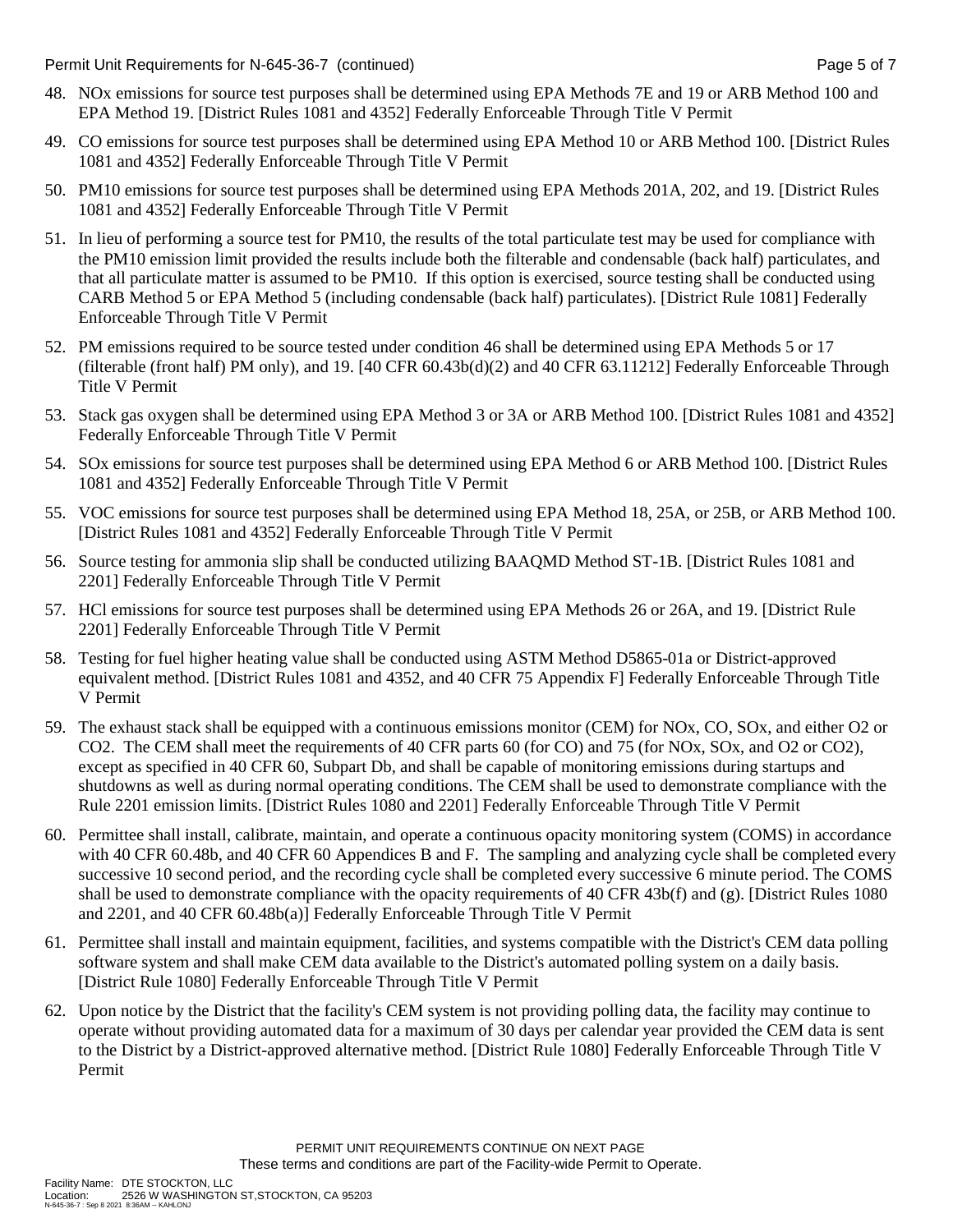Permit Unit Requirements for N-645-36-7 (continued) Page 5 of 7

- 48. NOx emissions for source test purposes shall be determined using EPA Methods 7E and 19 or ARB Method 100 and EPA Method 19. [District Rules 1081 and 4352] Federally Enforceable Through Title V Permit
- 49. CO emissions for source test purposes shall be determined using EPA Method 10 or ARB Method 100. [District Rules 1081 and 4352] Federally Enforceable Through Title V Permit
- 50. PM10 emissions for source test purposes shall be determined using EPA Methods 201A, 202, and 19. [District Rules 1081 and 4352] Federally Enforceable Through Title V Permit
- 51. In lieu of performing a source test for PM10, the results of the total particulate test may be used for compliance with the PM10 emission limit provided the results include both the filterable and condensable (back half) particulates, and that all particulate matter is assumed to be PM10. If this option is exercised, source testing shall be conducted using CARB Method 5 or EPA Method 5 (including condensable (back half) particulates). [District Rule 1081] Federally Enforceable Through Title V Permit
- 52. PM emissions required to be source tested under condition 46 shall be determined using EPA Methods 5 or 17 (filterable (front half) PM only), and 19. [40 CFR 60.43b(d)(2) and 40 CFR 63.11212] Federally Enforceable Through Title V Permit
- 53. Stack gas oxygen shall be determined using EPA Method 3 or 3A or ARB Method 100. [District Rules 1081 and 4352] Federally Enforceable Through Title V Permit
- 54. SOx emissions for source test purposes shall be determined using EPA Method 6 or ARB Method 100. [District Rules 1081 and 4352] Federally Enforceable Through Title V Permit
- 55. VOC emissions for source test purposes shall be determined using EPA Method 18, 25A, or 25B, or ARB Method 100. [District Rules 1081 and 4352] Federally Enforceable Through Title V Permit
- 56. Source testing for ammonia slip shall be conducted utilizing BAAQMD Method ST-1B. [District Rules 1081 and 2201] Federally Enforceable Through Title V Permit
- 57. HCl emissions for source test purposes shall be determined using EPA Methods 26 or 26A, and 19. [District Rule 2201] Federally Enforceable Through Title V Permit
- 58. Testing for fuel higher heating value shall be conducted using ASTM Method D5865-01a or District-approved equivalent method. [District Rules 1081 and 4352, and 40 CFR 75 Appendix F] Federally Enforceable Through Title V Permit
- 59. The exhaust stack shall be equipped with a continuous emissions monitor (CEM) for NOx, CO, SOx, and either O2 or CO2. The CEM shall meet the requirements of 40 CFR parts 60 (for CO) and 75 (for NOx, SOx, and O2 or CO2), except as specified in 40 CFR 60, Subpart Db, and shall be capable of monitoring emissions during startups and shutdowns as well as during normal operating conditions. The CEM shall be used to demonstrate compliance with the Rule 2201 emission limits. [District Rules 1080 and 2201] Federally Enforceable Through Title V Permit
- 60. Permittee shall install, calibrate, maintain, and operate a continuous opacity monitoring system (COMS) in accordance with 40 CFR 60.48b, and 40 CFR 60 Appendices B and F. The sampling and analyzing cycle shall be completed every successive 10 second period, and the recording cycle shall be completed every successive 6 minute period. The COMS shall be used to demonstrate compliance with the opacity requirements of 40 CFR 43b(f) and (g). [District Rules 1080 and 2201, and 40 CFR 60.48b(a)] Federally Enforceable Through Title V Permit
- 61. Permittee shall install and maintain equipment, facilities, and systems compatible with the District's CEM data polling software system and shall make CEM data available to the District's automated polling system on a daily basis. [District Rule 1080] Federally Enforceable Through Title V Permit
- 62. Upon notice by the District that the facility's CEM system is not providing polling data, the facility may continue to operate without providing automated data for a maximum of 30 days per calendar year provided the CEM data is sent to the District by a District-approved alternative method. [District Rule 1080] Federally Enforceable Through Title V Permit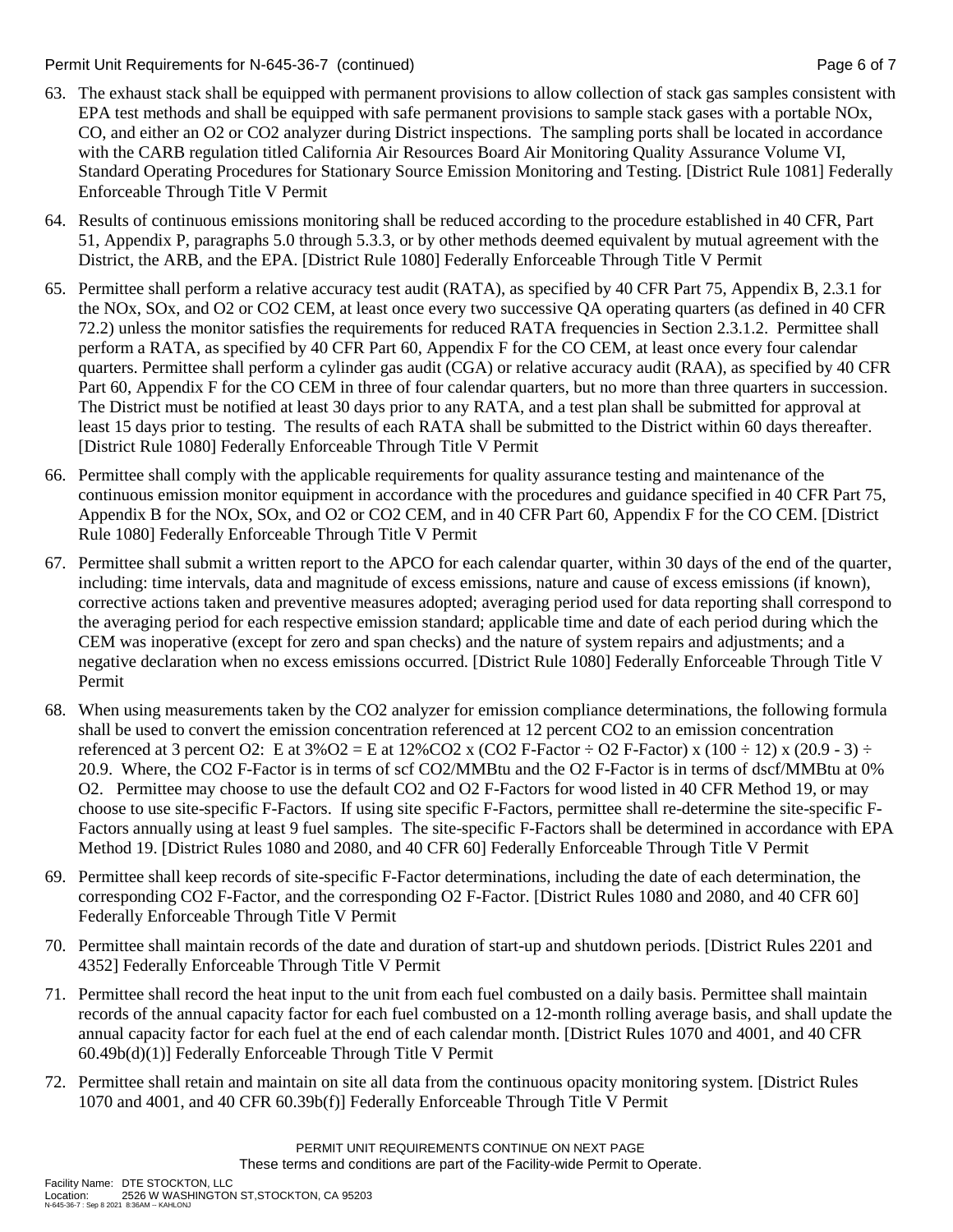Permit Unit Requirements for N-645-36-7 (continued) Page 6 of 7

- 63. The exhaust stack shall be equipped with permanent provisions to allow collection of stack gas samples consistent with EPA test methods and shall be equipped with safe permanent provisions to sample stack gases with a portable NOx, CO, and either an O2 or CO2 analyzer during District inspections. The sampling ports shall be located in accordance with the CARB regulation titled California Air Resources Board Air Monitoring Quality Assurance Volume VI, Standard Operating Procedures for Stationary Source Emission Monitoring and Testing. [District Rule 1081] Federally Enforceable Through Title V Permit
- 64. Results of continuous emissions monitoring shall be reduced according to the procedure established in 40 CFR, Part 51, Appendix P, paragraphs 5.0 through 5.3.3, or by other methods deemed equivalent by mutual agreement with the District, the ARB, and the EPA. [District Rule 1080] Federally Enforceable Through Title V Permit
- 65. Permittee shall perform a relative accuracy test audit (RATA), as specified by 40 CFR Part 75, Appendix B, 2.3.1 for the NOx, SOx, and O2 or CO2 CEM, at least once every two successive QA operating quarters (as defined in 40 CFR 72.2) unless the monitor satisfies the requirements for reduced RATA frequencies in Section 2.3.1.2. Permittee shall perform a RATA, as specified by 40 CFR Part 60, Appendix F for the CO CEM, at least once every four calendar quarters. Permittee shall perform a cylinder gas audit (CGA) or relative accuracy audit (RAA), as specified by 40 CFR Part 60, Appendix F for the CO CEM in three of four calendar quarters, but no more than three quarters in succession. The District must be notified at least 30 days prior to any RATA, and a test plan shall be submitted for approval at least 15 days prior to testing. The results of each RATA shall be submitted to the District within 60 days thereafter. [District Rule 1080] Federally Enforceable Through Title V Permit
- 66. Permittee shall comply with the applicable requirements for quality assurance testing and maintenance of the continuous emission monitor equipment in accordance with the procedures and guidance specified in 40 CFR Part 75, Appendix B for the NOx, SOx, and O2 or CO2 CEM, and in 40 CFR Part 60, Appendix F for the CO CEM. [District Rule 1080] Federally Enforceable Through Title V Permit
- 67. Permittee shall submit a written report to the APCO for each calendar quarter, within 30 days of the end of the quarter, including: time intervals, data and magnitude of excess emissions, nature and cause of excess emissions (if known), corrective actions taken and preventive measures adopted; averaging period used for data reporting shall correspond to the averaging period for each respective emission standard; applicable time and date of each period during which the CEM was inoperative (except for zero and span checks) and the nature of system repairs and adjustments; and a negative declaration when no excess emissions occurred. [District Rule 1080] Federally Enforceable Through Title V Permit
- 68. When using measurements taken by the CO2 analyzer for emission compliance determinations, the following formula shall be used to convert the emission concentration referenced at 12 percent CO2 to an emission concentration referenced at 3 percent O2: E at  $3\%$  O2 = E at  $12\%$  CO2 x (CO2 F-Factor  $\div$  O2 F-Factor) x (100  $\div$  12) x (20.9 - 3)  $\div$ 20.9. Where, the CO2 F-Factor is in terms of scf CO2/MMBtu and the O2 F-Factor is in terms of dscf/MMBtu at 0% O2. Permittee may choose to use the default CO2 and O2 F-Factors for wood listed in 40 CFR Method 19, or may choose to use site-specific F-Factors. If using site specific F-Factors, permittee shall re-determine the site-specific F-Factors annually using at least 9 fuel samples. The site-specific F-Factors shall be determined in accordance with EPA Method 19. [District Rules 1080 and 2080, and 40 CFR 60] Federally Enforceable Through Title V Permit
- 69. Permittee shall keep records of site-specific F-Factor determinations, including the date of each determination, the corresponding CO2 F-Factor, and the corresponding O2 F-Factor. [District Rules 1080 and 2080, and 40 CFR 60] Federally Enforceable Through Title V Permit
- 70. Permittee shall maintain records of the date and duration of start-up and shutdown periods. [District Rules 2201 and 4352] Federally Enforceable Through Title V Permit
- 71. Permittee shall record the heat input to the unit from each fuel combusted on a daily basis. Permittee shall maintain records of the annual capacity factor for each fuel combusted on a 12-month rolling average basis, and shall update the annual capacity factor for each fuel at the end of each calendar month. [District Rules 1070 and 4001, and 40 CFR 60.49b(d)(1)] Federally Enforceable Through Title V Permit
- 72. Permittee shall retain and maintain on site all data from the continuous opacity monitoring system. [District Rules 1070 and 4001, and 40 CFR 60.39b(f)] Federally Enforceable Through Title V Permit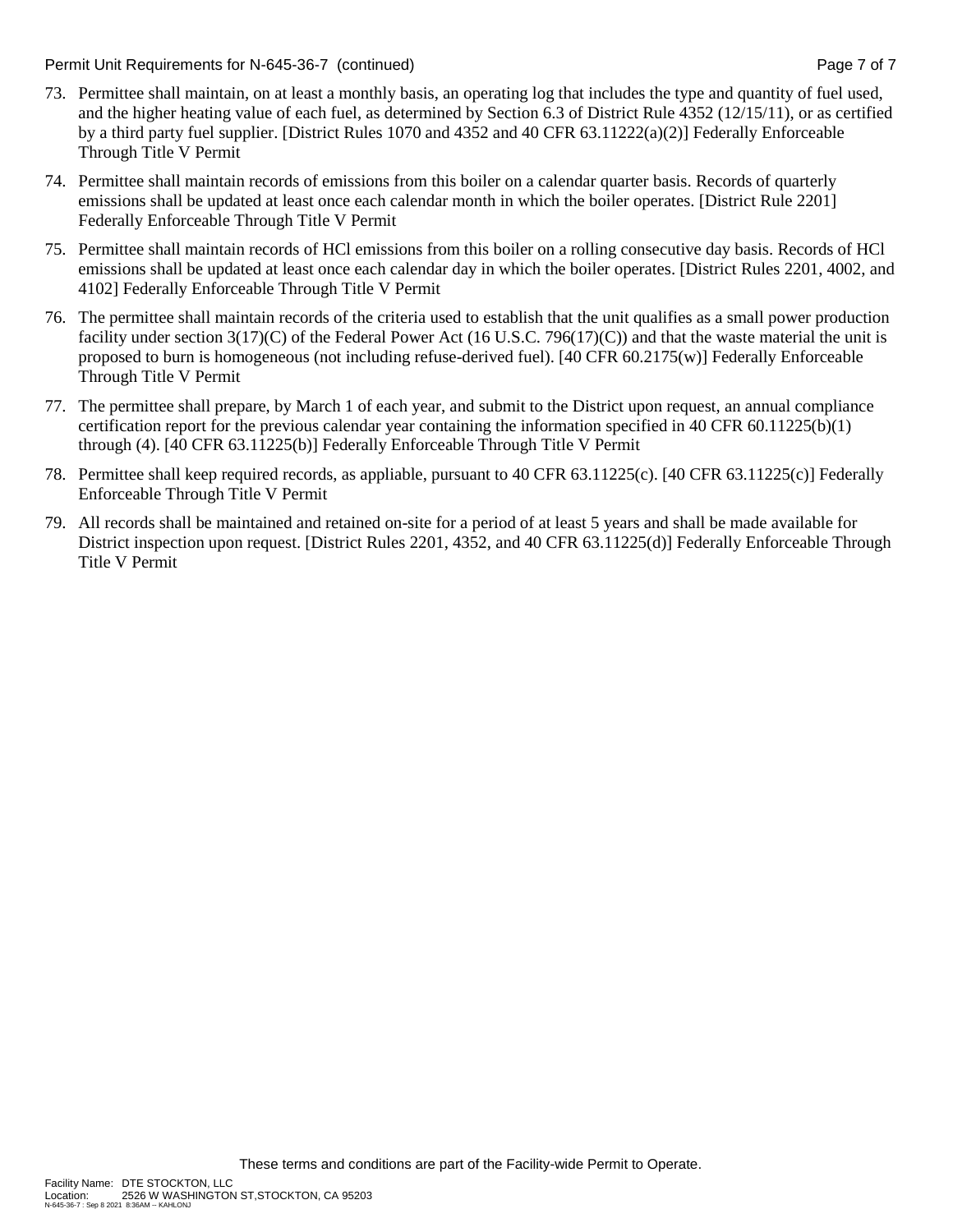Permit Unit Requirements for N-645-36-7 (continued) Page 7 of 7

- 73. Permittee shall maintain, on at least a monthly basis, an operating log that includes the type and quantity of fuel used, and the higher heating value of each fuel, as determined by Section 6.3 of District Rule 4352 (12/15/11), or as certified by a third party fuel supplier. [District Rules 1070 and 4352 and 40 CFR 63.11222(a)(2)] Federally Enforceable Through Title V Permit
- 74. Permittee shall maintain records of emissions from this boiler on a calendar quarter basis. Records of quarterly emissions shall be updated at least once each calendar month in which the boiler operates. [District Rule 2201] Federally Enforceable Through Title V Permit
- 75. Permittee shall maintain records of HCl emissions from this boiler on a rolling consecutive day basis. Records of HCl emissions shall be updated at least once each calendar day in which the boiler operates. [District Rules 2201, 4002, and 4102] Federally Enforceable Through Title V Permit
- 76. The permittee shall maintain records of the criteria used to establish that the unit qualifies as a small power production facility under section 3(17)(C) of the Federal Power Act (16 U.S.C. 796(17)(C)) and that the waste material the unit is proposed to burn is homogeneous (not including refuse-derived fuel). [40 CFR 60.2175(w)] Federally Enforceable Through Title V Permit
- 77. The permittee shall prepare, by March 1 of each year, and submit to the District upon request, an annual compliance certification report for the previous calendar year containing the information specified in 40 CFR  $60.11225(b)(1)$ through (4). [40 CFR 63.11225(b)] Federally Enforceable Through Title V Permit
- 78. Permittee shall keep required records, as appliable, pursuant to 40 CFR 63.11225(c). [40 CFR 63.11225(c)] Federally Enforceable Through Title V Permit
- 79. All records shall be maintained and retained on-site for a period of at least 5 years and shall be made available for District inspection upon request. [District Rules 2201, 4352, and 40 CFR 63.11225(d)] Federally Enforceable Through Title V Permit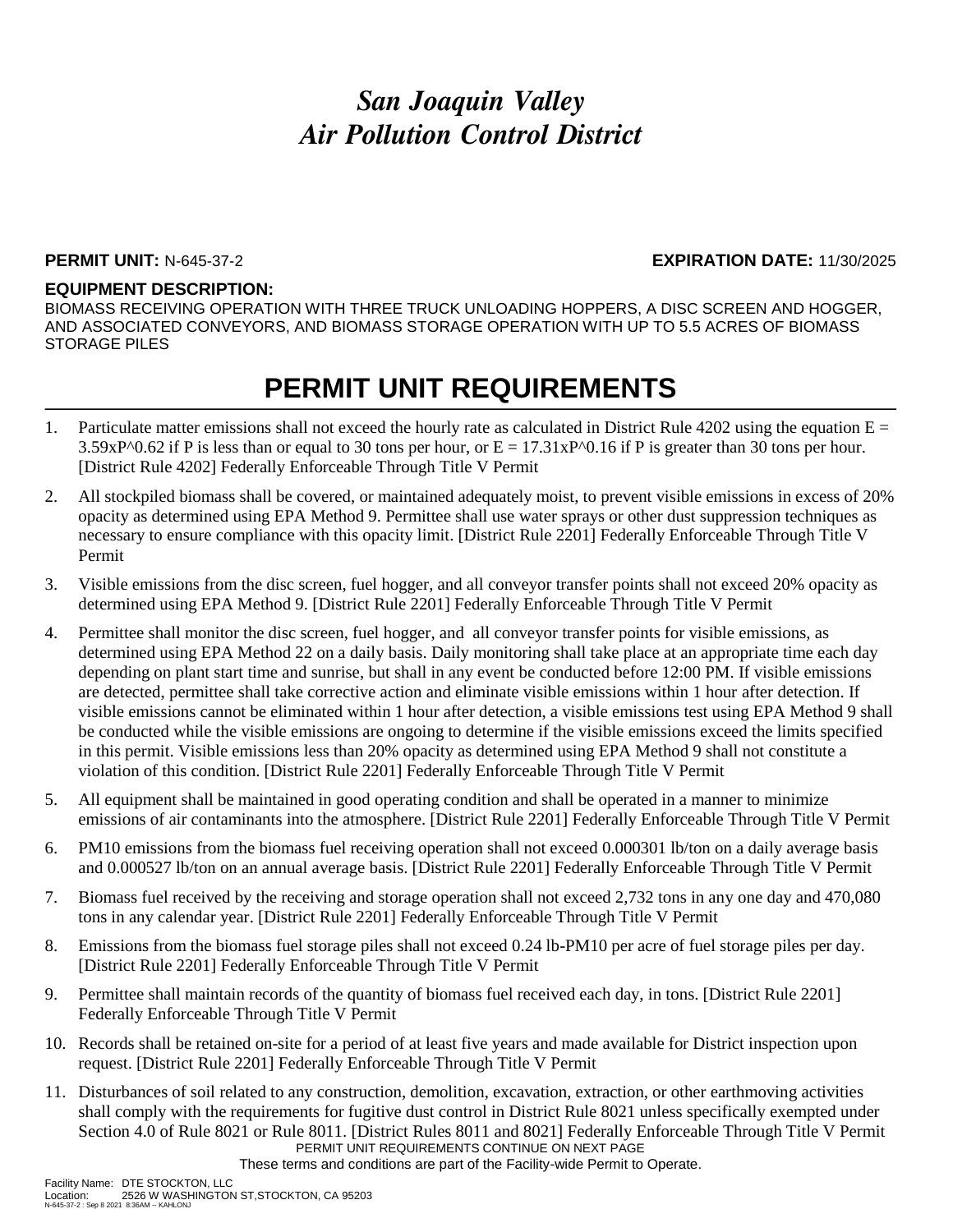### **PERMIT UNIT:** N-645-37-2 **EXPIRATION DATE:** 11/30/2025

#### **EQUIPMENT DESCRIPTION:**

BIOMASS RECEIVING OPERATION WITH THREE TRUCK UNLOADING HOPPERS, A DISC SCREEN AND HOGGER, AND ASSOCIATED CONVEYORS, AND BIOMASS STORAGE OPERATION WITH UP TO 5.5 ACRES OF BIOMASS STORAGE PILES

### **PERMIT UNIT REQUIREMENTS**

- 1. Particulate matter emissions shall not exceed the hourly rate as calculated in District Rule 4202 using the equation  $E =$  $3.59xP^00.62$  if P is less than or equal to 30 tons per hour, or  $E = 17.31xP^00.16$  if P is greater than 30 tons per hour. [District Rule 4202] Federally Enforceable Through Title V Permit
- 2. All stockpiled biomass shall be covered, or maintained adequately moist, to prevent visible emissions in excess of 20% opacity as determined using EPA Method 9. Permittee shall use water sprays or other dust suppression techniques as necessary to ensure compliance with this opacity limit. [District Rule 2201] Federally Enforceable Through Title V Permit
- 3. Visible emissions from the disc screen, fuel hogger, and all conveyor transfer points shall not exceed 20% opacity as determined using EPA Method 9. [District Rule 2201] Federally Enforceable Through Title V Permit
- 4. Permittee shall monitor the disc screen, fuel hogger, and all conveyor transfer points for visible emissions, as determined using EPA Method 22 on a daily basis. Daily monitoring shall take place at an appropriate time each day depending on plant start time and sunrise, but shall in any event be conducted before 12:00 PM. If visible emissions are detected, permittee shall take corrective action and eliminate visible emissions within 1 hour after detection. If visible emissions cannot be eliminated within 1 hour after detection, a visible emissions test using EPA Method 9 shall be conducted while the visible emissions are ongoing to determine if the visible emissions exceed the limits specified in this permit. Visible emissions less than 20% opacity as determined using EPA Method 9 shall not constitute a violation of this condition. [District Rule 2201] Federally Enforceable Through Title V Permit
- 5. All equipment shall be maintained in good operating condition and shall be operated in a manner to minimize emissions of air contaminants into the atmosphere. [District Rule 2201] Federally Enforceable Through Title V Permit
- 6. PM10 emissions from the biomass fuel receiving operation shall not exceed 0.000301 lb/ton on a daily average basis and 0.000527 lb/ton on an annual average basis. [District Rule 2201] Federally Enforceable Through Title V Permit
- 7. Biomass fuel received by the receiving and storage operation shall not exceed 2,732 tons in any one day and 470,080 tons in any calendar year. [District Rule 2201] Federally Enforceable Through Title V Permit
- 8. Emissions from the biomass fuel storage piles shall not exceed 0.24 lb-PM10 per acre of fuel storage piles per day. [District Rule 2201] Federally Enforceable Through Title V Permit
- 9. Permittee shall maintain records of the quantity of biomass fuel received each day, in tons. [District Rule 2201] Federally Enforceable Through Title V Permit
- 10. Records shall be retained on-site for a period of at least five years and made available for District inspection upon request. [District Rule 2201] Federally Enforceable Through Title V Permit
- PERMIT UNIT REQUIREMENTS CONTINUE ON NEXT PAGE 11. Disturbances of soil related to any construction, demolition, excavation, extraction, or other earthmoving activities shall comply with the requirements for fugitive dust control in District Rule 8021 unless specifically exempted under Section 4.0 of Rule 8021 or Rule 8011. [District Rules 8011 and 8021] Federally Enforceable Through Title V Permit

These terms and conditions are part of the Facility-wide Permit to Operate.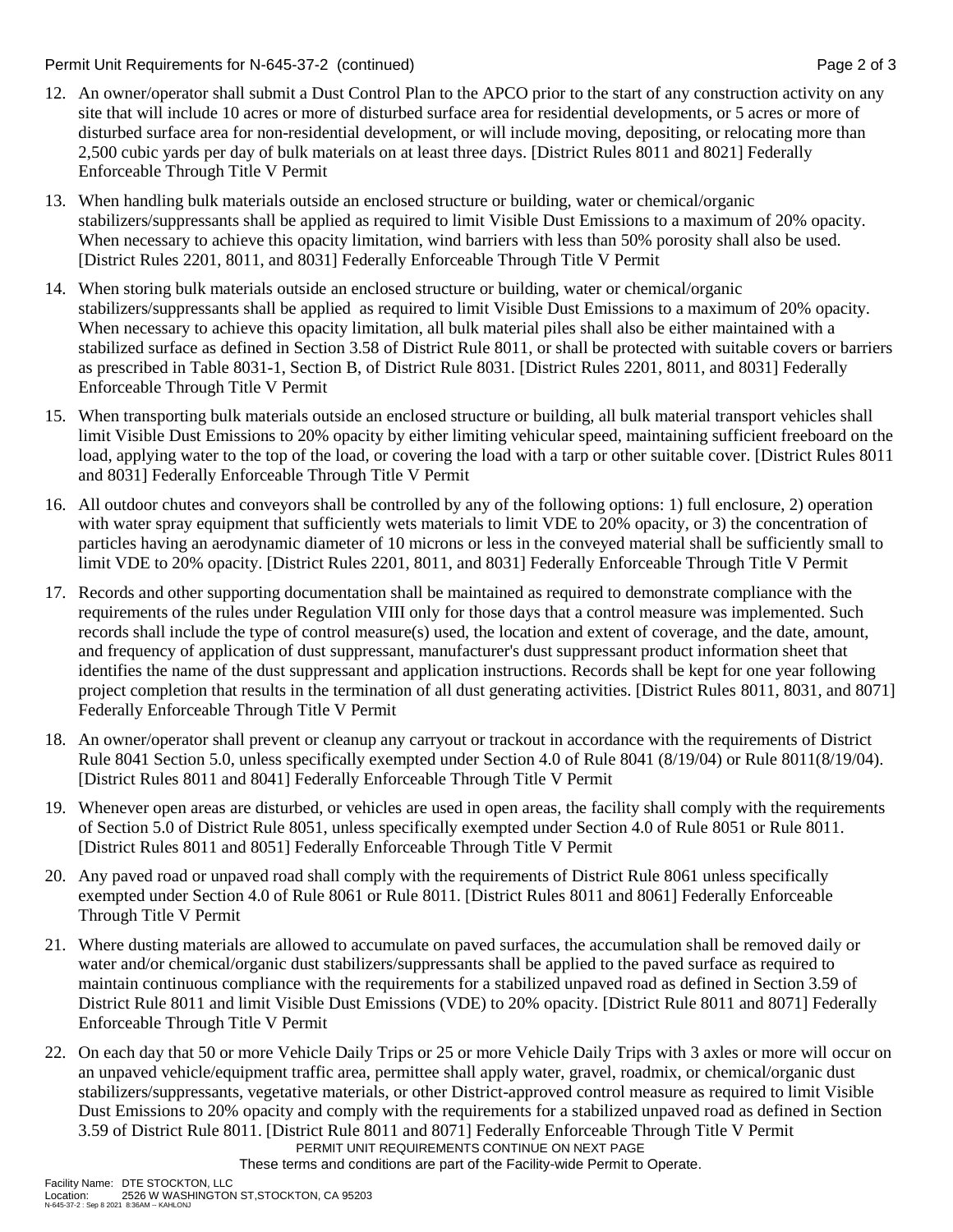#### Permit Unit Requirements for N-645-37-2 (continued) Page 2 of 3

- 12. An owner/operator shall submit a Dust Control Plan to the APCO prior to the start of any construction activity on any site that will include 10 acres or more of disturbed surface area for residential developments, or 5 acres or more of disturbed surface area for non-residential development, or will include moving, depositing, or relocating more than 2,500 cubic yards per day of bulk materials on at least three days. [District Rules 8011 and 8021] Federally Enforceable Through Title V Permit
- 13. When handling bulk materials outside an enclosed structure or building, water or chemical/organic stabilizers/suppressants shall be applied as required to limit Visible Dust Emissions to a maximum of 20% opacity. When necessary to achieve this opacity limitation, wind barriers with less than 50% porosity shall also be used. [District Rules 2201, 8011, and 8031] Federally Enforceable Through Title V Permit
- 14. When storing bulk materials outside an enclosed structure or building, water or chemical/organic stabilizers/suppressants shall be applied as required to limit Visible Dust Emissions to a maximum of 20% opacity. When necessary to achieve this opacity limitation, all bulk material piles shall also be either maintained with a stabilized surface as defined in Section 3.58 of District Rule 8011, or shall be protected with suitable covers or barriers as prescribed in Table 8031-1, Section B, of District Rule 8031. [District Rules 2201, 8011, and 8031] Federally Enforceable Through Title V Permit
- 15. When transporting bulk materials outside an enclosed structure or building, all bulk material transport vehicles shall limit Visible Dust Emissions to 20% opacity by either limiting vehicular speed, maintaining sufficient freeboard on the load, applying water to the top of the load, or covering the load with a tarp or other suitable cover. [District Rules 8011 and 8031] Federally Enforceable Through Title V Permit
- 16. All outdoor chutes and conveyors shall be controlled by any of the following options: 1) full enclosure, 2) operation with water spray equipment that sufficiently wets materials to limit VDE to 20% opacity, or 3) the concentration of particles having an aerodynamic diameter of 10 microns or less in the conveyed material shall be sufficiently small to limit VDE to 20% opacity. [District Rules 2201, 8011, and 8031] Federally Enforceable Through Title V Permit
- 17. Records and other supporting documentation shall be maintained as required to demonstrate compliance with the requirements of the rules under Regulation VIII only for those days that a control measure was implemented. Such records shall include the type of control measure(s) used, the location and extent of coverage, and the date, amount, and frequency of application of dust suppressant, manufacturer's dust suppressant product information sheet that identifies the name of the dust suppressant and application instructions. Records shall be kept for one year following project completion that results in the termination of all dust generating activities. [District Rules 8011, 8031, and 8071] Federally Enforceable Through Title V Permit
- 18. An owner/operator shall prevent or cleanup any carryout or trackout in accordance with the requirements of District Rule 8041 Section 5.0, unless specifically exempted under Section 4.0 of Rule 8041 (8/19/04) or Rule 8011(8/19/04). [District Rules 8011 and 8041] Federally Enforceable Through Title V Permit
- 19. Whenever open areas are disturbed, or vehicles are used in open areas, the facility shall comply with the requirements of Section 5.0 of District Rule 8051, unless specifically exempted under Section 4.0 of Rule 8051 or Rule 8011. [District Rules 8011 and 8051] Federally Enforceable Through Title V Permit
- 20. Any paved road or unpaved road shall comply with the requirements of District Rule 8061 unless specifically exempted under Section 4.0 of Rule 8061 or Rule 8011. [District Rules 8011 and 8061] Federally Enforceable Through Title V Permit
- 21. Where dusting materials are allowed to accumulate on paved surfaces, the accumulation shall be removed daily or water and/or chemical/organic dust stabilizers/suppressants shall be applied to the paved surface as required to maintain continuous compliance with the requirements for a stabilized unpaved road as defined in Section 3.59 of District Rule 8011 and limit Visible Dust Emissions (VDE) to 20% opacity. [District Rule 8011 and 8071] Federally Enforceable Through Title V Permit
- PERMIT UNIT REQUIREMENTS CONTINUE ON NEXT PAGE 22. On each day that 50 or more Vehicle Daily Trips or 25 or more Vehicle Daily Trips with 3 axles or more will occur on an unpaved vehicle/equipment traffic area, permittee shall apply water, gravel, roadmix, or chemical/organic dust stabilizers/suppressants, vegetative materials, or other District-approved control measure as required to limit Visible Dust Emissions to 20% opacity and comply with the requirements for a stabilized unpaved road as defined in Section 3.59 of District Rule 8011. [District Rule 8011 and 8071] Federally Enforceable Through Title V Permit

These terms and conditions are part of the Facility-wide Permit to Operate.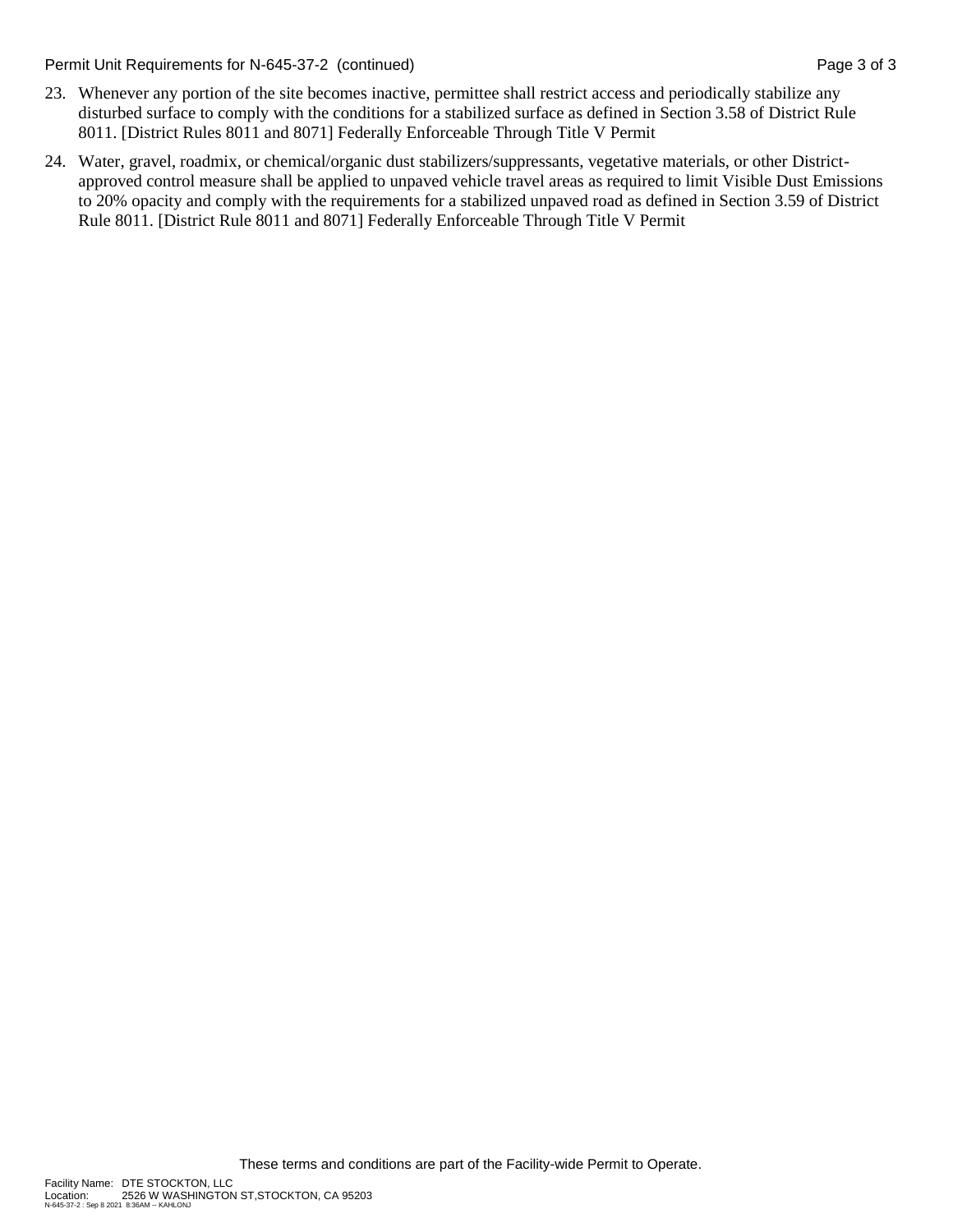Permit Unit Requirements for N-645-37-2 (continued) Page 3 of 3

- 23. Whenever any portion of the site becomes inactive, permittee shall restrict access and periodically stabilize any disturbed surface to comply with the conditions for a stabilized surface as defined in Section 3.58 of District Rule 8011. [District Rules 8011 and 8071] Federally Enforceable Through Title V Permit
- 24. Water, gravel, roadmix, or chemical/organic dust stabilizers/suppressants, vegetative materials, or other Districtapproved control measure shall be applied to unpaved vehicle travel areas as required to limit Visible Dust Emissions to 20% opacity and comply with the requirements for a stabilized unpaved road as defined in Section 3.59 of District Rule 8011. [District Rule 8011 and 8071] Federally Enforceable Through Title V Permit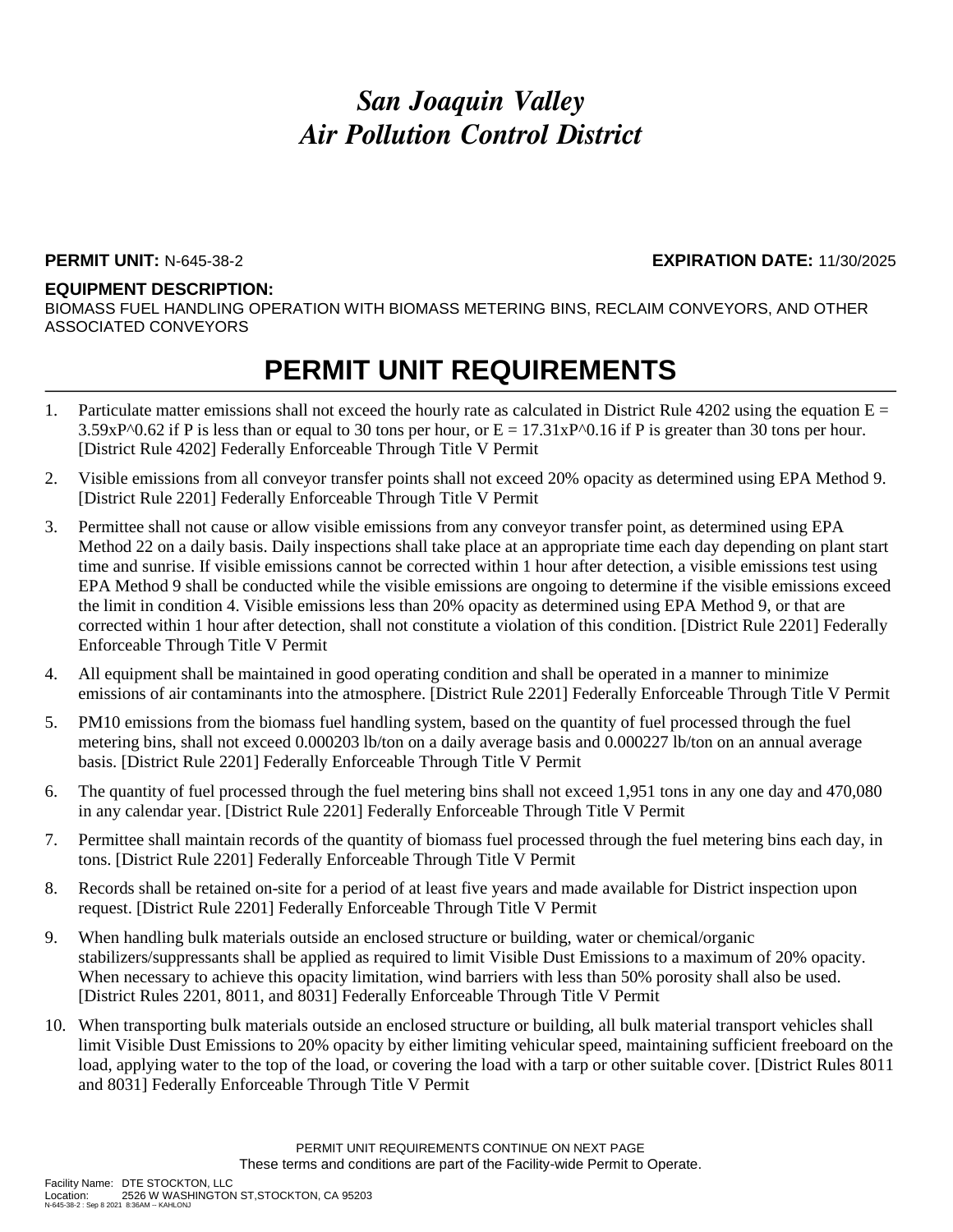### **PERMIT UNIT:** N-645-38-2 **EXPIRATION DATE:** 11/30/2025

#### **EQUIPMENT DESCRIPTION:**

BIOMASS FUEL HANDLING OPERATION WITH BIOMASS METERING BINS, RECLAIM CONVEYORS, AND OTHER ASSOCIATED CONVEYORS

## **PERMIT UNIT REQUIREMENTS**

- 1. Particulate matter emissions shall not exceed the hourly rate as calculated in District Rule 4202 using the equation  $E =$  $3.59xP^00.62$  if P is less than or equal to 30 tons per hour, or  $E = 17.31xP^00.16$  if P is greater than 30 tons per hour. [District Rule 4202] Federally Enforceable Through Title V Permit
- 2. Visible emissions from all conveyor transfer points shall not exceed 20% opacity as determined using EPA Method 9. [District Rule 2201] Federally Enforceable Through Title V Permit
- 3. Permittee shall not cause or allow visible emissions from any conveyor transfer point, as determined using EPA Method 22 on a daily basis. Daily inspections shall take place at an appropriate time each day depending on plant start time and sunrise. If visible emissions cannot be corrected within 1 hour after detection, a visible emissions test using EPA Method 9 shall be conducted while the visible emissions are ongoing to determine if the visible emissions exceed the limit in condition 4. Visible emissions less than 20% opacity as determined using EPA Method 9, or that are corrected within 1 hour after detection, shall not constitute a violation of this condition. [District Rule 2201] Federally Enforceable Through Title V Permit
- 4. All equipment shall be maintained in good operating condition and shall be operated in a manner to minimize emissions of air contaminants into the atmosphere. [District Rule 2201] Federally Enforceable Through Title V Permit
- 5. PM10 emissions from the biomass fuel handling system, based on the quantity of fuel processed through the fuel metering bins, shall not exceed 0.000203 lb/ton on a daily average basis and 0.000227 lb/ton on an annual average basis. [District Rule 2201] Federally Enforceable Through Title V Permit
- 6. The quantity of fuel processed through the fuel metering bins shall not exceed 1,951 tons in any one day and 470,080 in any calendar year. [District Rule 2201] Federally Enforceable Through Title V Permit
- 7. Permittee shall maintain records of the quantity of biomass fuel processed through the fuel metering bins each day, in tons. [District Rule 2201] Federally Enforceable Through Title V Permit
- 8. Records shall be retained on-site for a period of at least five years and made available for District inspection upon request. [District Rule 2201] Federally Enforceable Through Title V Permit
- 9. When handling bulk materials outside an enclosed structure or building, water or chemical/organic stabilizers/suppressants shall be applied as required to limit Visible Dust Emissions to a maximum of 20% opacity. When necessary to achieve this opacity limitation, wind barriers with less than 50% porosity shall also be used. [District Rules 2201, 8011, and 8031] Federally Enforceable Through Title V Permit
- 10. When transporting bulk materials outside an enclosed structure or building, all bulk material transport vehicles shall limit Visible Dust Emissions to 20% opacity by either limiting vehicular speed, maintaining sufficient freeboard on the load, applying water to the top of the load, or covering the load with a tarp or other suitable cover. [District Rules 8011 and 8031] Federally Enforceable Through Title V Permit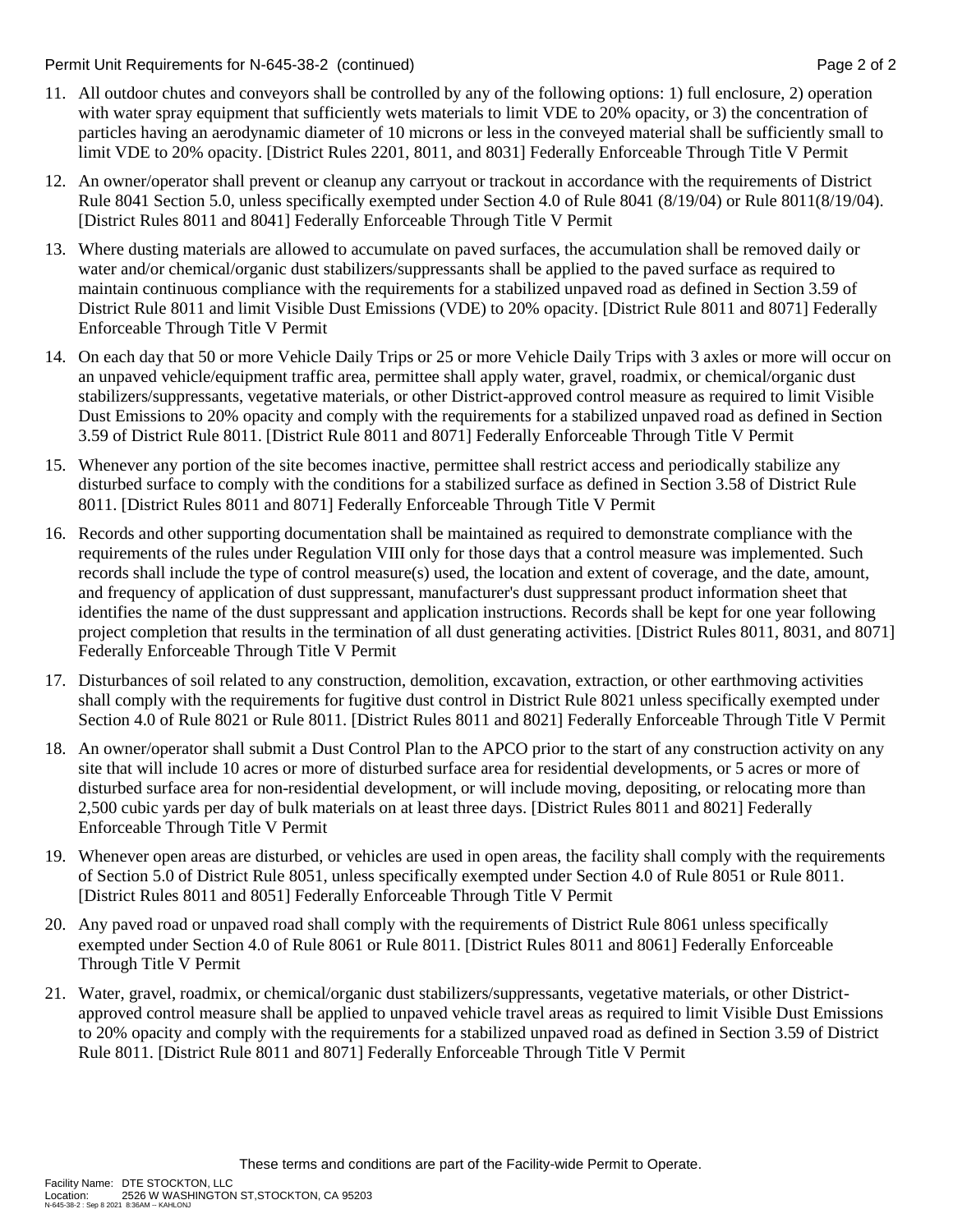Permit Unit Requirements for N-645-38-2 (continued) **Page 2** of 2

- 11. All outdoor chutes and conveyors shall be controlled by any of the following options: 1) full enclosure, 2) operation with water spray equipment that sufficiently wets materials to limit VDE to 20% opacity, or 3) the concentration of particles having an aerodynamic diameter of 10 microns or less in the conveyed material shall be sufficiently small to limit VDE to 20% opacity. [District Rules 2201, 8011, and 8031] Federally Enforceable Through Title V Permit
- 12. An owner/operator shall prevent or cleanup any carryout or trackout in accordance with the requirements of District Rule 8041 Section 5.0, unless specifically exempted under Section 4.0 of Rule 8041 (8/19/04) or Rule 8011(8/19/04). [District Rules 8011 and 8041] Federally Enforceable Through Title V Permit
- 13. Where dusting materials are allowed to accumulate on paved surfaces, the accumulation shall be removed daily or water and/or chemical/organic dust stabilizers/suppressants shall be applied to the paved surface as required to maintain continuous compliance with the requirements for a stabilized unpaved road as defined in Section 3.59 of District Rule 8011 and limit Visible Dust Emissions (VDE) to 20% opacity. [District Rule 8011 and 8071] Federally Enforceable Through Title V Permit
- 14. On each day that 50 or more Vehicle Daily Trips or 25 or more Vehicle Daily Trips with 3 axles or more will occur on an unpaved vehicle/equipment traffic area, permittee shall apply water, gravel, roadmix, or chemical/organic dust stabilizers/suppressants, vegetative materials, or other District-approved control measure as required to limit Visible Dust Emissions to 20% opacity and comply with the requirements for a stabilized unpaved road as defined in Section 3.59 of District Rule 8011. [District Rule 8011 and 8071] Federally Enforceable Through Title V Permit
- 15. Whenever any portion of the site becomes inactive, permittee shall restrict access and periodically stabilize any disturbed surface to comply with the conditions for a stabilized surface as defined in Section 3.58 of District Rule 8011. [District Rules 8011 and 8071] Federally Enforceable Through Title V Permit
- 16. Records and other supporting documentation shall be maintained as required to demonstrate compliance with the requirements of the rules under Regulation VIII only for those days that a control measure was implemented. Such records shall include the type of control measure(s) used, the location and extent of coverage, and the date, amount, and frequency of application of dust suppressant, manufacturer's dust suppressant product information sheet that identifies the name of the dust suppressant and application instructions. Records shall be kept for one year following project completion that results in the termination of all dust generating activities. [District Rules 8011, 8031, and 8071] Federally Enforceable Through Title V Permit
- 17. Disturbances of soil related to any construction, demolition, excavation, extraction, or other earthmoving activities shall comply with the requirements for fugitive dust control in District Rule 8021 unless specifically exempted under Section 4.0 of Rule 8021 or Rule 8011. [District Rules 8011 and 8021] Federally Enforceable Through Title V Permit
- 18. An owner/operator shall submit a Dust Control Plan to the APCO prior to the start of any construction activity on any site that will include 10 acres or more of disturbed surface area for residential developments, or 5 acres or more of disturbed surface area for non-residential development, or will include moving, depositing, or relocating more than 2,500 cubic yards per day of bulk materials on at least three days. [District Rules 8011 and 8021] Federally Enforceable Through Title V Permit
- 19. Whenever open areas are disturbed, or vehicles are used in open areas, the facility shall comply with the requirements of Section 5.0 of District Rule 8051, unless specifically exempted under Section 4.0 of Rule 8051 or Rule 8011. [District Rules 8011 and 8051] Federally Enforceable Through Title V Permit
- 20. Any paved road or unpaved road shall comply with the requirements of District Rule 8061 unless specifically exempted under Section 4.0 of Rule 8061 or Rule 8011. [District Rules 8011 and 8061] Federally Enforceable Through Title V Permit
- 21. Water, gravel, roadmix, or chemical/organic dust stabilizers/suppressants, vegetative materials, or other Districtapproved control measure shall be applied to unpaved vehicle travel areas as required to limit Visible Dust Emissions to 20% opacity and comply with the requirements for a stabilized unpaved road as defined in Section 3.59 of District Rule 8011. [District Rule 8011 and 8071] Federally Enforceable Through Title V Permit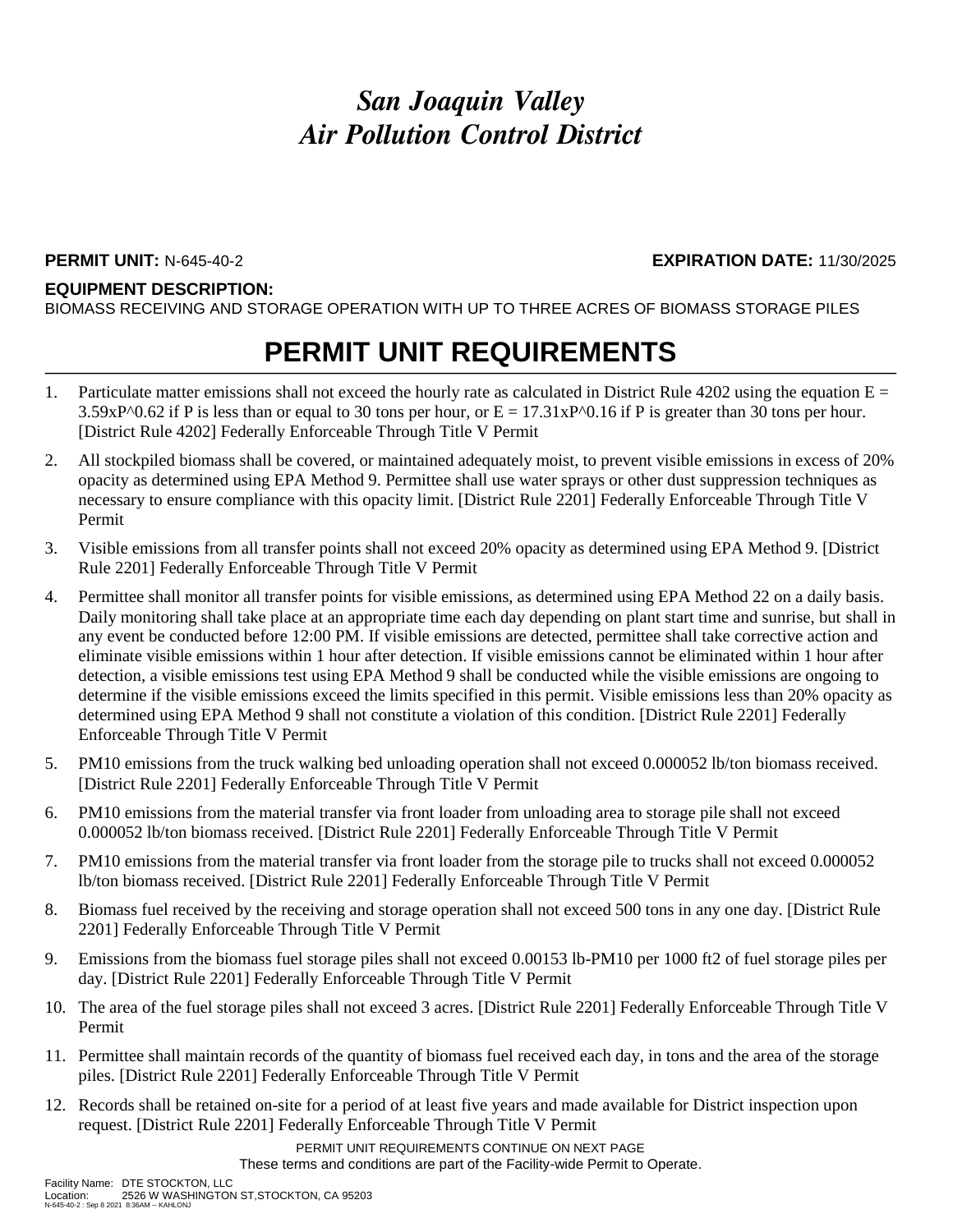### **EQUIPMENT DESCRIPTION:**

BIOMASS RECEIVING AND STORAGE OPERATION WITH UP TO THREE ACRES OF BIOMASS STORAGE PILES

## **PERMIT UNIT REQUIREMENTS**

- 1. Particulate matter emissions shall not exceed the hourly rate as calculated in District Rule 4202 using the equation  $E =$  $3.59xP^00.62$  if P is less than or equal to 30 tons per hour, or  $E = 17.31xP^00.16$  if P is greater than 30 tons per hour. [District Rule 4202] Federally Enforceable Through Title V Permit
- 2. All stockpiled biomass shall be covered, or maintained adequately moist, to prevent visible emissions in excess of 20% opacity as determined using EPA Method 9. Permittee shall use water sprays or other dust suppression techniques as necessary to ensure compliance with this opacity limit. [District Rule 2201] Federally Enforceable Through Title V Permit
- 3. Visible emissions from all transfer points shall not exceed 20% opacity as determined using EPA Method 9. [District Rule 2201] Federally Enforceable Through Title V Permit
- 4. Permittee shall monitor all transfer points for visible emissions, as determined using EPA Method 22 on a daily basis. Daily monitoring shall take place at an appropriate time each day depending on plant start time and sunrise, but shall in any event be conducted before 12:00 PM. If visible emissions are detected, permittee shall take corrective action and eliminate visible emissions within 1 hour after detection. If visible emissions cannot be eliminated within 1 hour after detection, a visible emissions test using EPA Method 9 shall be conducted while the visible emissions are ongoing to determine if the visible emissions exceed the limits specified in this permit. Visible emissions less than 20% opacity as determined using EPA Method 9 shall not constitute a violation of this condition. [District Rule 2201] Federally Enforceable Through Title V Permit
- 5. PM10 emissions from the truck walking bed unloading operation shall not exceed 0.000052 lb/ton biomass received. [District Rule 2201] Federally Enforceable Through Title V Permit
- 6. PM10 emissions from the material transfer via front loader from unloading area to storage pile shall not exceed 0.000052 lb/ton biomass received. [District Rule 2201] Federally Enforceable Through Title V Permit
- 7. PM10 emissions from the material transfer via front loader from the storage pile to trucks shall not exceed 0.000052 lb/ton biomass received. [District Rule 2201] Federally Enforceable Through Title V Permit
- 8. Biomass fuel received by the receiving and storage operation shall not exceed 500 tons in any one day. [District Rule 2201] Federally Enforceable Through Title V Permit
- 9. Emissions from the biomass fuel storage piles shall not exceed 0.00153 lb-PM10 per 1000 ft2 of fuel storage piles per day. [District Rule 2201] Federally Enforceable Through Title V Permit
- 10. The area of the fuel storage piles shall not exceed 3 acres. [District Rule 2201] Federally Enforceable Through Title V Permit
- 11. Permittee shall maintain records of the quantity of biomass fuel received each day, in tons and the area of the storage piles. [District Rule 2201] Federally Enforceable Through Title V Permit
- 12. Records shall be retained on-site for a period of at least five years and made available for District inspection upon request. [District Rule 2201] Federally Enforceable Through Title V Permit

PERMIT UNIT REQUIREMENTS CONTINUE ON NEXT PAGE These terms and conditions are part of the Facility-wide Permit to Operate.

**PERMIT UNIT:** N-645-40-2 **EXPIRATION DATE:** 11/30/2025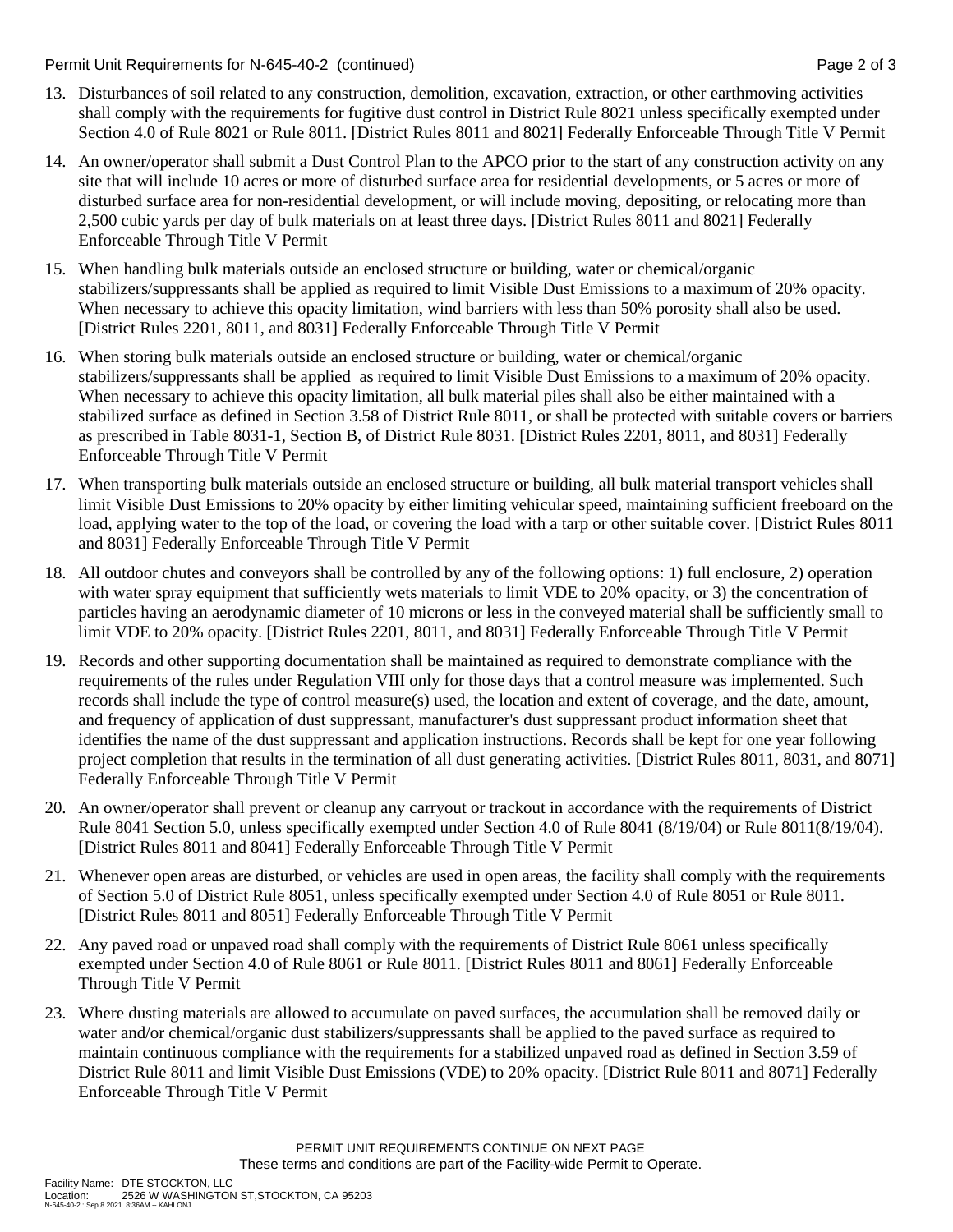Permit Unit Requirements for N-645-40-2 (continued) **Page 2** of 3

- 13. Disturbances of soil related to any construction, demolition, excavation, extraction, or other earthmoving activities shall comply with the requirements for fugitive dust control in District Rule 8021 unless specifically exempted under Section 4.0 of Rule 8021 or Rule 8011. [District Rules 8011 and 8021] Federally Enforceable Through Title V Permit
- 14. An owner/operator shall submit a Dust Control Plan to the APCO prior to the start of any construction activity on any site that will include 10 acres or more of disturbed surface area for residential developments, or 5 acres or more of disturbed surface area for non-residential development, or will include moving, depositing, or relocating more than 2,500 cubic yards per day of bulk materials on at least three days. [District Rules 8011 and 8021] Federally Enforceable Through Title V Permit
- 15. When handling bulk materials outside an enclosed structure or building, water or chemical/organic stabilizers/suppressants shall be applied as required to limit Visible Dust Emissions to a maximum of 20% opacity. When necessary to achieve this opacity limitation, wind barriers with less than 50% porosity shall also be used. [District Rules 2201, 8011, and 8031] Federally Enforceable Through Title V Permit
- 16. When storing bulk materials outside an enclosed structure or building, water or chemical/organic stabilizers/suppressants shall be applied as required to limit Visible Dust Emissions to a maximum of 20% opacity. When necessary to achieve this opacity limitation, all bulk material piles shall also be either maintained with a stabilized surface as defined in Section 3.58 of District Rule 8011, or shall be protected with suitable covers or barriers as prescribed in Table 8031-1, Section B, of District Rule 8031. [District Rules 2201, 8011, and 8031] Federally Enforceable Through Title V Permit
- 17. When transporting bulk materials outside an enclosed structure or building, all bulk material transport vehicles shall limit Visible Dust Emissions to 20% opacity by either limiting vehicular speed, maintaining sufficient freeboard on the load, applying water to the top of the load, or covering the load with a tarp or other suitable cover. [District Rules 8011 and 8031] Federally Enforceable Through Title V Permit
- 18. All outdoor chutes and conveyors shall be controlled by any of the following options: 1) full enclosure, 2) operation with water spray equipment that sufficiently wets materials to limit VDE to 20% opacity, or 3) the concentration of particles having an aerodynamic diameter of 10 microns or less in the conveyed material shall be sufficiently small to limit VDE to 20% opacity. [District Rules 2201, 8011, and 8031] Federally Enforceable Through Title V Permit
- 19. Records and other supporting documentation shall be maintained as required to demonstrate compliance with the requirements of the rules under Regulation VIII only for those days that a control measure was implemented. Such records shall include the type of control measure(s) used, the location and extent of coverage, and the date, amount, and frequency of application of dust suppressant, manufacturer's dust suppressant product information sheet that identifies the name of the dust suppressant and application instructions. Records shall be kept for one year following project completion that results in the termination of all dust generating activities. [District Rules 8011, 8031, and 8071] Federally Enforceable Through Title V Permit
- 20. An owner/operator shall prevent or cleanup any carryout or trackout in accordance with the requirements of District Rule 8041 Section 5.0, unless specifically exempted under Section 4.0 of Rule 8041 (8/19/04) or Rule 8011(8/19/04). [District Rules 8011 and 8041] Federally Enforceable Through Title V Permit
- 21. Whenever open areas are disturbed, or vehicles are used in open areas, the facility shall comply with the requirements of Section 5.0 of District Rule 8051, unless specifically exempted under Section 4.0 of Rule 8051 or Rule 8011. [District Rules 8011 and 8051] Federally Enforceable Through Title V Permit
- 22. Any paved road or unpaved road shall comply with the requirements of District Rule 8061 unless specifically exempted under Section 4.0 of Rule 8061 or Rule 8011. [District Rules 8011 and 8061] Federally Enforceable Through Title V Permit
- 23. Where dusting materials are allowed to accumulate on paved surfaces, the accumulation shall be removed daily or water and/or chemical/organic dust stabilizers/suppressants shall be applied to the paved surface as required to maintain continuous compliance with the requirements for a stabilized unpaved road as defined in Section 3.59 of District Rule 8011 and limit Visible Dust Emissions (VDE) to 20% opacity. [District Rule 8011 and 8071] Federally Enforceable Through Title V Permit